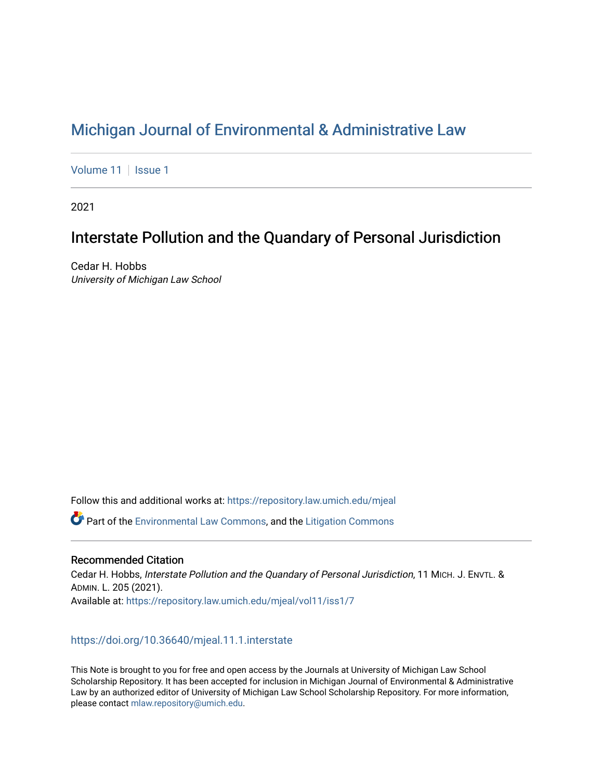# [Michigan Journal of Environmental & Administrative Law](https://repository.law.umich.edu/mjeal)

[Volume 11](https://repository.law.umich.edu/mjeal/vol11) | [Issue 1](https://repository.law.umich.edu/mjeal/vol11/iss1)

2021

# Interstate Pollution and the Quandary of Personal Jurisdiction

Cedar H. Hobbs University of Michigan Law School

Follow this and additional works at: [https://repository.law.umich.edu/mjeal](https://repository.law.umich.edu/mjeal?utm_source=repository.law.umich.edu%2Fmjeal%2Fvol11%2Fiss1%2F7&utm_medium=PDF&utm_campaign=PDFCoverPages)

Part of the [Environmental Law Commons](http://network.bepress.com/hgg/discipline/599?utm_source=repository.law.umich.edu%2Fmjeal%2Fvol11%2Fiss1%2F7&utm_medium=PDF&utm_campaign=PDFCoverPages), and the [Litigation Commons](http://network.bepress.com/hgg/discipline/910?utm_source=repository.law.umich.edu%2Fmjeal%2Fvol11%2Fiss1%2F7&utm_medium=PDF&utm_campaign=PDFCoverPages)

### Recommended Citation

Cedar H. Hobbs, Interstate Pollution and the Quandary of Personal Jurisdiction, 11 MICH. J. ENVTL. & ADMIN. L. 205 (2021). Available at: [https://repository.law.umich.edu/mjeal/vol11/iss1/7](https://repository.law.umich.edu/mjeal/vol11/iss1/7?utm_source=repository.law.umich.edu%2Fmjeal%2Fvol11%2Fiss1%2F7&utm_medium=PDF&utm_campaign=PDFCoverPages)

### <https://doi.org/10.36640/mjeal.11.1.interstate>

This Note is brought to you for free and open access by the Journals at University of Michigan Law School Scholarship Repository. It has been accepted for inclusion in Michigan Journal of Environmental & Administrative Law by an authorized editor of University of Michigan Law School Scholarship Repository. For more information, please contact [mlaw.repository@umich.edu.](mailto:mlaw.repository@umich.edu)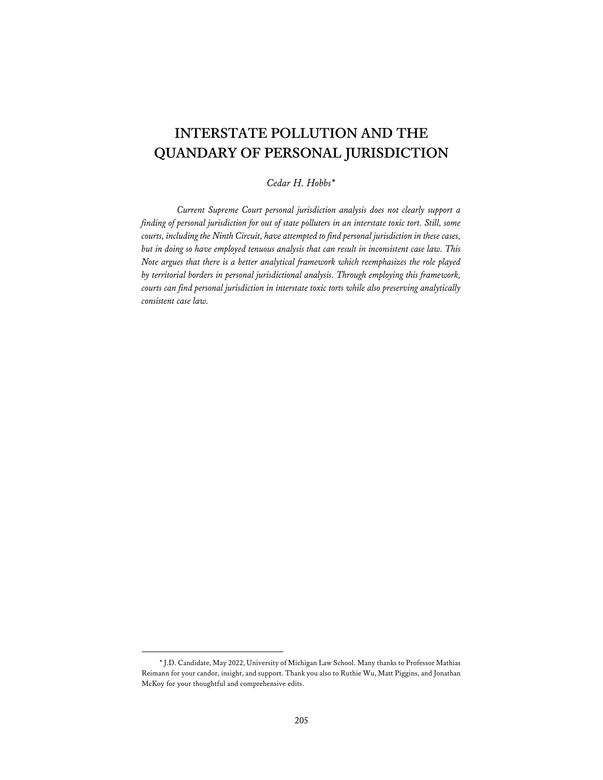## **INTERSTATE POLLUTION AND THE QUANDARY OF PERSONAL JURISDICTION**

#### *Cedar H. Hobbs\**

*Current Supreme Court personal jurisdiction analysis does not clearly support a finding of personal jurisdiction for out of state polluters in an interstate toxic tort. Still, some courts, including the Ninth Circuit, have attempted to find personal jurisdiction in these cases, but in doing so have employed tenuous analysis that can result in inconsistent case law. This Note argues that there is a better analytical framework which reemphasizes the role played by territorial borders in personal jurisdictional analysis. Through employing this framework, courts can find personal jurisdiction in interstate toxic torts while also preserving analytically consistent case law.* 

<sup>\*</sup> J.D. Candidate, May 2022, University of Michigan Law School. Many thanks to Professor Mathias Reimann for your candor, insight, and support. Thank you also to Ruthie Wu, Matt Piggins, and Jonathan McKoy for your thoughtful and comprehensive edits.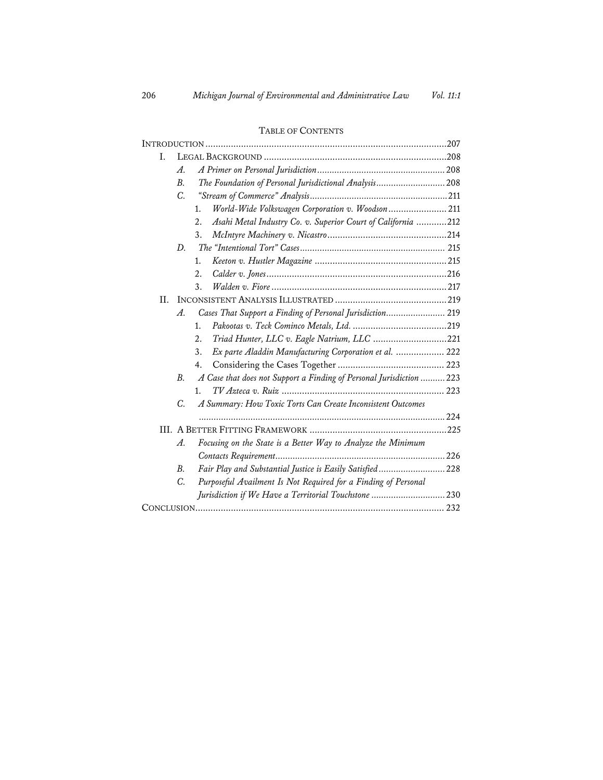## INTRODUCTION ............................................................................................... 207 I. LEGAL BACKGROUND ........................................................................ 208 *A. A Primer on Personal Jurisdiction ....................................................* 208 *B. The Foundation of Personal Jurisdictional Analysis ............................* 208 *C. "Stream of Commerce" Analysis ........................................................* 211 1. *World-Wide Volkswagen Corporation v. Woodson* ....................... 211 2. *Asahi Metal Industry Co. v. Superior Court of California* ............ 212 3. *McIntyre Machinery v. Nicastro* ............................................... 214 *D. The "Intentional Tort" Cases ...........................................................* 215 1. *Keeton v. Hustler Magazine* .................................................... 215 2. *Calder v. Jones* ....................................................................... 216 3. *Walden v. Fiore* ..................................................................... 217 II. INCONSISTENT ANALYSIS ILLUSTRATED ............................................ 219 *A. Cases That Support a Finding of Personal Jurisdiction ........................* 219 1. *Pakootas v. Teck Cominco Metals, Ltd.* ..................................... 219 2. *Triad Hunter, LLC v. Eagle Natrium, LLC* ............................. 221 3. *Ex parte Aladdin Manufacturing Corporation et al.* ................... 222 4. Considering the Cases Together .......................................... 223 *B. A Case that does not Support a Finding of Personal Jurisdiction ..........* 223 1. *TV Azteca v. Ruiz* ................................................................ 223 *C. A Summary: How Toxic Torts Can Create Inconsistent Outcomes ....................................................................................................* 224 III. A BETTER FITTING FRAMEWORK ...................................................... 225 *A. Focusing on the State is a Better Way to Analyze the Minimum Contacts Requirement .....................................................................* 226 *B. Fair Play and Substantial Justice is Easily Satisfied ...........................* 228 *C. Purposeful Availment Is Not Required for a Finding of Personal Jurisdiction if We Have a Territorial Touchstone ..............................* 230 CONCLUSION .................................................................................................. 232

#### TABLE OF CONTENTS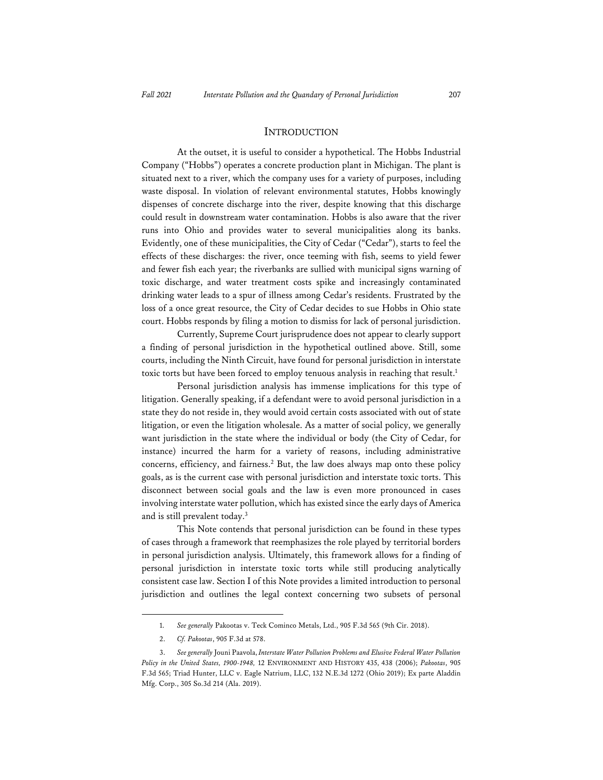#### **INTRODUCTION**

At the outset, it is useful to consider a hypothetical. The Hobbs Industrial Company ("Hobbs") operates a concrete production plant in Michigan. The plant is situated next to a river, which the company uses for a variety of purposes, including waste disposal. In violation of relevant environmental statutes, Hobbs knowingly dispenses of concrete discharge into the river, despite knowing that this discharge could result in downstream water contamination. Hobbs is also aware that the river runs into Ohio and provides water to several municipalities along its banks. Evidently, one of these municipalities, the City of Cedar ("Cedar"), starts to feel the effects of these discharges: the river, once teeming with fish, seems to yield fewer and fewer fish each year; the riverbanks are sullied with municipal signs warning of toxic discharge, and water treatment costs spike and increasingly contaminated drinking water leads to a spur of illness among Cedar's residents. Frustrated by the loss of a once great resource, the City of Cedar decides to sue Hobbs in Ohio state court. Hobbs responds by filing a motion to dismiss for lack of personal jurisdiction.

Currently, Supreme Court jurisprudence does not appear to clearly support a finding of personal jurisdiction in the hypothetical outlined above. Still, some courts, including the Ninth Circuit, have found for personal jurisdiction in interstate toxic torts but have been forced to employ tenuous analysis in reaching that result.1

Personal jurisdiction analysis has immense implications for this type of litigation. Generally speaking, if a defendant were to avoid personal jurisdiction in a state they do not reside in, they would avoid certain costs associated with out of state litigation, or even the litigation wholesale. As a matter of social policy, we generally want jurisdiction in the state where the individual or body (the City of Cedar, for instance) incurred the harm for a variety of reasons, including administrative concerns, efficiency, and fairness.2 But, the law does always map onto these policy goals, as is the current case with personal jurisdiction and interstate toxic torts. This disconnect between social goals and the law is even more pronounced in cases involving interstate water pollution, which has existed since the early days of America and is still prevalent today.3

This Note contends that personal jurisdiction can be found in these types of cases through a framework that reemphasizes the role played by territorial borders in personal jurisdiction analysis. Ultimately, this framework allows for a finding of personal jurisdiction in interstate toxic torts while still producing analytically consistent case law. Section I of this Note provides a limited introduction to personal jurisdiction and outlines the legal context concerning two subsets of personal

<sup>1.</sup> *See generally* Pakootas v. Teck Cominco Metals, Ltd., 905 F.3d 565 (9th Cir. 2018).

<sup>2.</sup> *Cf. Pakootas*, 905 F.3d at 578.

<sup>3.</sup> *See generally* Jouni Paavola, *Interstate Water Pollution Problems and Elusive Federal Water Pollution Policy in the United States, 1900-1948,* 12 ENVIRONMENT AND HISTORY 435, 438 (2006); *Pakootas*, 905 F.3d 565; Triad Hunter, LLC v. Eagle Natrium, LLC, 132 N.E.3d 1272 (Ohio 2019); Ex parte Aladdin Mfg. Corp., 305 So.3d 214 (Ala. 2019).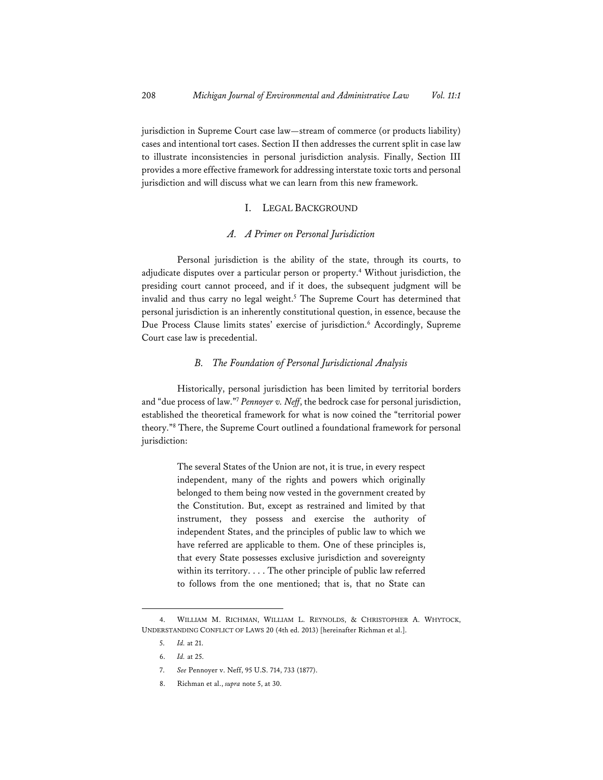jurisdiction in Supreme Court case law—stream of commerce (or products liability) cases and intentional tort cases. Section II then addresses the current split in case law to illustrate inconsistencies in personal jurisdiction analysis. Finally, Section III provides a more effective framework for addressing interstate toxic torts and personal jurisdiction and will discuss what we can learn from this new framework.

#### I. LEGAL BACKGROUND

#### *A. A Primer on Personal Jurisdiction*

Personal jurisdiction is the ability of the state, through its courts, to adjudicate disputes over a particular person or property.4 Without jurisdiction, the presiding court cannot proceed, and if it does, the subsequent judgment will be invalid and thus carry no legal weight.5 The Supreme Court has determined that personal jurisdiction is an inherently constitutional question, in essence, because the Due Process Clause limits states' exercise of jurisdiction.<sup>6</sup> Accordingly, Supreme Court case law is precedential.

#### *B. The Foundation of Personal Jurisdictional Analysis*

Historically, personal jurisdiction has been limited by territorial borders and "due process of law."7 *Pennoyer v. Neff*, the bedrock case for personal jurisdiction, established the theoretical framework for what is now coined the "territorial power theory."8 There, the Supreme Court outlined a foundational framework for personal jurisdiction:

> The several States of the Union are not, it is true, in every respect independent, many of the rights and powers which originally belonged to them being now vested in the government created by the Constitution. But, except as restrained and limited by that instrument, they possess and exercise the authority of independent States, and the principles of public law to which we have referred are applicable to them. One of these principles is, that every State possesses exclusive jurisdiction and sovereignty within its territory. . . . The other principle of public law referred to follows from the one mentioned; that is, that no State can

<sup>4.</sup> WILLIAM M. RICHMAN, WILLIAM L. REYNOLDS, & CHRISTOPHER A. WHYTOCK, UNDERSTANDING CONFLICT OF LAWS 20 (4th ed. 2013) [hereinafter Richman et al.].

<sup>5.</sup> *Id.* at 21.

<sup>6.</sup> *Id.* at 25.

<sup>7.</sup> *See* Pennoyer v. Neff, 95 U.S. 714, 733 (1877).

<sup>8.</sup> Richman et al., *supra* note 5, at 30.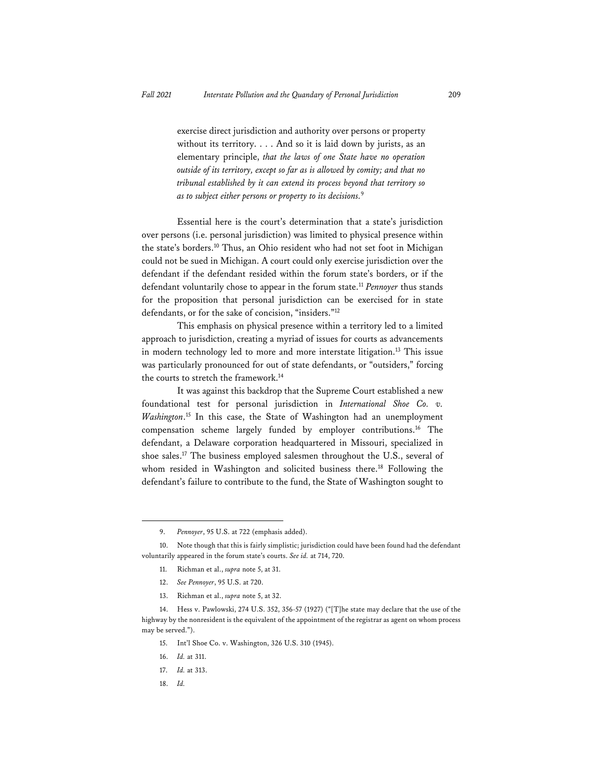exercise direct jurisdiction and authority over persons or property without its territory. . . . And so it is laid down by jurists, as an elementary principle, *that the laws of one State have no operation outside of its territory, except so far as is allowed by comity; and that no tribunal established by it can extend its process beyond that territory so as to subject either persons or property to its decisions.*9

Essential here is the court's determination that a state's jurisdiction over persons (i.e. personal jurisdiction) was limited to physical presence within the state's borders.10 Thus, an Ohio resident who had not set foot in Michigan could not be sued in Michigan. A court could only exercise jurisdiction over the defendant if the defendant resided within the forum state's borders, or if the defendant voluntarily chose to appear in the forum state.11 *Pennoyer* thus stands for the proposition that personal jurisdiction can be exercised for in state defendants, or for the sake of concision, "insiders."12

This emphasis on physical presence within a territory led to a limited approach to jurisdiction, creating a myriad of issues for courts as advancements in modern technology led to more and more interstate litigation.<sup>13</sup> This issue was particularly pronounced for out of state defendants, or "outsiders," forcing the courts to stretch the framework.14

It was against this backdrop that the Supreme Court established a new foundational test for personal jurisdiction in *International Shoe Co. v. Washington*. 15 In this case, the State of Washington had an unemployment compensation scheme largely funded by employer contributions.16 The defendant, a Delaware corporation headquartered in Missouri, specialized in shoe sales.17 The business employed salesmen throughout the U.S., several of whom resided in Washington and solicited business there.<sup>18</sup> Following the defendant's failure to contribute to the fund, the State of Washington sought to

- 15. Int'l Shoe Co. v. Washington, 326 U.S. 310 (1945).
- 16. *Id.* at 311.
- 17. *Id.* at 313.
- 18. *Id.*

<sup>9.</sup> *Pennoyer*, 95 U.S. at 722 (emphasis added).

<sup>10.</sup> Note though that this is fairly simplistic; jurisdiction could have been found had the defendant voluntarily appeared in the forum state's courts. *See id.* at 714, 720.

<sup>11.</sup> Richman et al., *supra* note 5, at 31.

<sup>12.</sup> *See Pennoyer*, 95 U.S. at 720.

<sup>13.</sup> Richman et al., *supra* note 5, at 32.

<sup>14.</sup> Hess v. Pawlowski, 274 U.S. 352, 356-57 (1927) ("[T]he state may declare that the use of the highway by the nonresident is the equivalent of the appointment of the registrar as agent on whom process may be served.").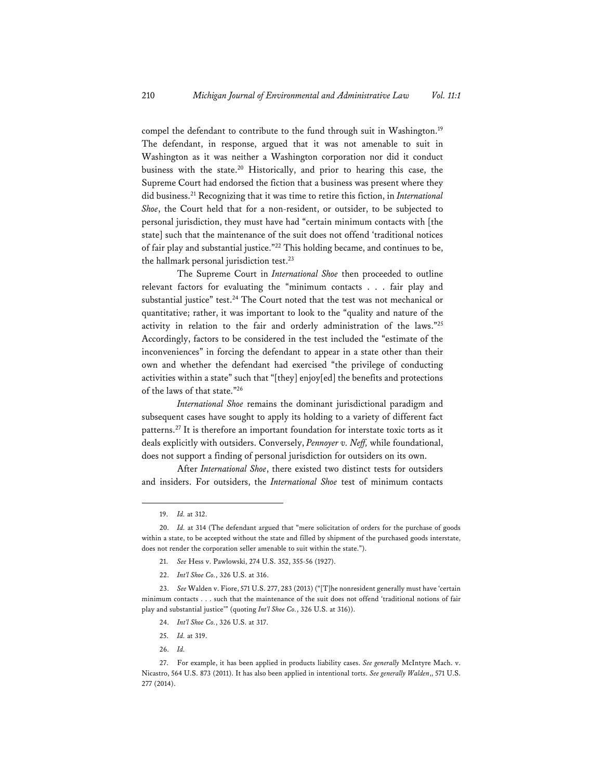compel the defendant to contribute to the fund through suit in Washington.<sup>19</sup> The defendant, in response, argued that it was not amenable to suit in Washington as it was neither a Washington corporation nor did it conduct business with the state.20 Historically, and prior to hearing this case, the Supreme Court had endorsed the fiction that a business was present where they did business.21 Recognizing that it was time to retire this fiction, in *International Shoe*, the Court held that for a non-resident, or outsider, to be subjected to personal jurisdiction, they must have had "certain minimum contacts with [the state] such that the maintenance of the suit does not offend 'traditional notices of fair play and substantial justice."22 This holding became, and continues to be, the hallmark personal jurisdiction test.<sup>23</sup>

The Supreme Court in *International Shoe* then proceeded to outline relevant factors for evaluating the "minimum contacts . . . fair play and substantial justice" test.<sup>24</sup> The Court noted that the test was not mechanical or quantitative; rather, it was important to look to the "quality and nature of the activity in relation to the fair and orderly administration of the laws."25 Accordingly, factors to be considered in the test included the "estimate of the inconveniences" in forcing the defendant to appear in a state other than their own and whether the defendant had exercised "the privilege of conducting activities within a state" such that "[they] enjoy[ed] the benefits and protections of the laws of that state."26

*International Shoe* remains the dominant jurisdictional paradigm and subsequent cases have sought to apply its holding to a variety of different fact patterns.27 It is therefore an important foundation for interstate toxic torts as it deals explicitly with outsiders. Conversely, *Pennoyer v. Neff,* while foundational, does not support a finding of personal jurisdiction for outsiders on its own.

After *International Shoe*, there existed two distinct tests for outsiders and insiders. For outsiders, the *International Shoe* test of minimum contacts

26. *Id.*

<sup>19.</sup> *Id.* at 312.

<sup>20.</sup> *Id.* at 314 (The defendant argued that "mere solicitation of orders for the purchase of goods within a state, to be accepted without the state and filled by shipment of the purchased goods interstate, does not render the corporation seller amenable to suit within the state.").

<sup>21.</sup> *See* Hess v. Pawlowski, 274 U.S. 352, 355-56 (1927).

<sup>22.</sup> *Int'l Shoe Co.*, 326 U.S. at 316.

<sup>23.</sup> *See* Walden v. Fiore, 571 U.S. 277, 283 (2013) ("[T]he nonresident generally must have 'certain minimum contacts . . . such that the maintenance of the suit does not offend 'traditional notions of fair play and substantial justice'" (quoting *Int'l Shoe Co.*, 326 U.S. at 316)).

<sup>24.</sup> *Int'l Shoe Co.*, 326 U.S. at 317.

<sup>25.</sup> *Id.* at 319.

<sup>27.</sup> For example, it has been applied in products liability cases. *See generally* McIntyre Mach. v. Nicastro, 564 U.S. 873 (2011). It has also been applied in intentional torts. *See generally Walden*,, 571 U.S. 277 (2014).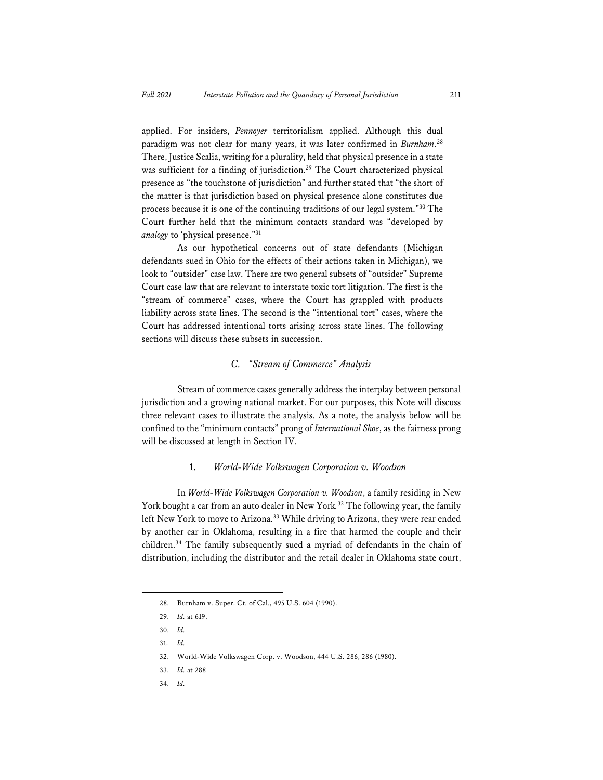applied. For insiders, *Pennoyer* territorialism applied. Although this dual paradigm was not clear for many years, it was later confirmed in *Burnham*. 28 There, Justice Scalia, writing for a plurality, held that physical presence in a state was sufficient for a finding of jurisdiction.<sup>29</sup> The Court characterized physical presence as "the touchstone of jurisdiction" and further stated that "the short of the matter is that jurisdiction based on physical presence alone constitutes due process because it is one of the continuing traditions of our legal system."30 The Court further held that the minimum contacts standard was "developed by *analogy* to 'physical presence."<sup>31</sup>

As our hypothetical concerns out of state defendants (Michigan defendants sued in Ohio for the effects of their actions taken in Michigan), we look to "outsider" case law. There are two general subsets of "outsider" Supreme Court case law that are relevant to interstate toxic tort litigation. The first is the "stream of commerce" cases, where the Court has grappled with products liability across state lines. The second is the "intentional tort" cases, where the Court has addressed intentional torts arising across state lines. The following sections will discuss these subsets in succession.

#### *C. "Stream of Commerce" Analysis*

Stream of commerce cases generally address the interplay between personal jurisdiction and a growing national market. For our purposes, this Note will discuss three relevant cases to illustrate the analysis. As a note, the analysis below will be confined to the "minimum contacts" prong of *International Shoe*, as the fairness prong will be discussed at length in Section IV.

#### 1. *World-Wide Volkswagen Corporation v. Woodson*

In *World-Wide Volkswagen Corporation v. Woodson*, a family residing in New York bought a car from an auto dealer in New York*.* 32 The following year, the family left New York to move to Arizona.<sup>33</sup> While driving to Arizona, they were rear ended by another car in Oklahoma, resulting in a fire that harmed the couple and their children.34 The family subsequently sued a myriad of defendants in the chain of distribution, including the distributor and the retail dealer in Oklahoma state court,

34. *Id.* 

<sup>28.</sup> Burnham v. Super. Ct. of Cal., 495 U.S. 604 (1990).

<sup>29.</sup> *Id.* at 619.

<sup>30.</sup> *Id.* 

<sup>31.</sup> *Id.*

<sup>32.</sup> World-Wide Volkswagen Corp. v. Woodson, 444 U.S. 286, 286 (1980).

<sup>33.</sup> *Id.* at 288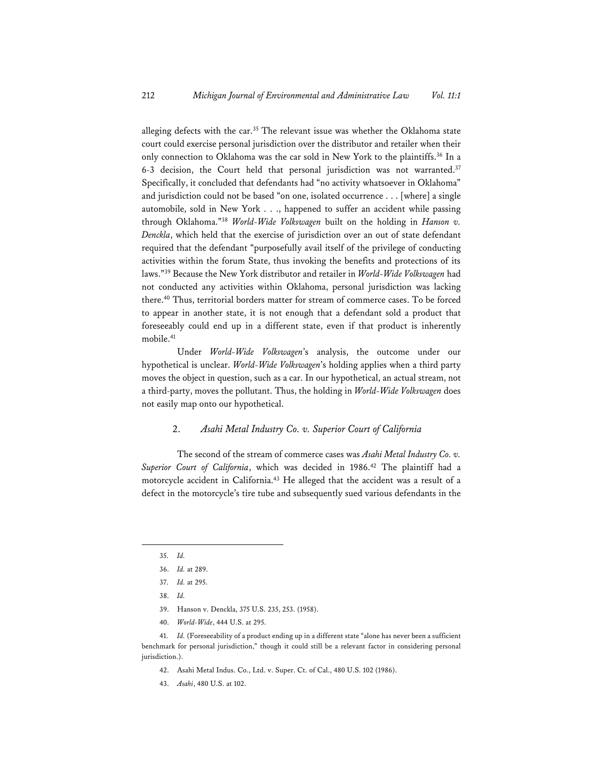alleging defects with the car.35 The relevant issue was whether the Oklahoma state court could exercise personal jurisdiction over the distributor and retailer when their only connection to Oklahoma was the car sold in New York to the plaintiffs.<sup>36</sup> In a 6-3 decision, the Court held that personal jurisdiction was not warranted.<sup>37</sup> Specifically, it concluded that defendants had "no activity whatsoever in Oklahoma" and jurisdiction could not be based "on one, isolated occurrence . . . [where] a single automobile, sold in New York . . ., happened to suffer an accident while passing through Oklahoma."38 *World-Wide Volkswagen* built on the holding in *Hanson v. Denckla*, which held that the exercise of jurisdiction over an out of state defendant required that the defendant "purposefully avail itself of the privilege of conducting activities within the forum State, thus invoking the benefits and protections of its laws."39 Because the New York distributor and retailer in *World-Wide Volkswagen* had not conducted any activities within Oklahoma, personal jurisdiction was lacking there.40 Thus, territorial borders matter for stream of commerce cases. To be forced to appear in another state, it is not enough that a defendant sold a product that foreseeably could end up in a different state, even if that product is inherently mobile.41

Under *World-Wide Volkswagen*'s analysis, the outcome under our hypothetical is unclear. *World-Wide Volkswagen*'s holding applies when a third party moves the object in question, such as a car. In our hypothetical, an actual stream, not a third-party, moves the pollutant. Thus, the holding in *World-Wide Volkswagen* does not easily map onto our hypothetical.

#### 2. *Asahi Metal Industry Co. v. Superior Court of California*

The second of the stream of commerce cases was *Asahi Metal Industry Co. v. Superior Court of California*, which was decided in 1986.42 The plaintiff had a motorcycle accident in California.43 He alleged that the accident was a result of a defect in the motorcycle's tire tube and subsequently sued various defendants in the

- 42. Asahi Metal Indus. Co., Ltd. v. Super. Ct. of Cal., 480 U.S. 102 (1986).
- 43. *Asahi*, 480 U.S. at 102.

<sup>35.</sup> *Id.* 

<sup>36.</sup> *Id.* at 289.

<sup>37.</sup> *Id.* at 295.

<sup>38.</sup> *Id.*

<sup>39.</sup> Hanson v. Denckla, 375 U.S. 235, 253. (1958).

<sup>40.</sup> *World-Wide*, 444 U.S. at 295.

<sup>41.</sup> *Id.* (Foreseeability of a product ending up in a different state "alone has never been a sufficient benchmark for personal jurisdiction," though it could still be a relevant factor in considering personal jurisdiction.).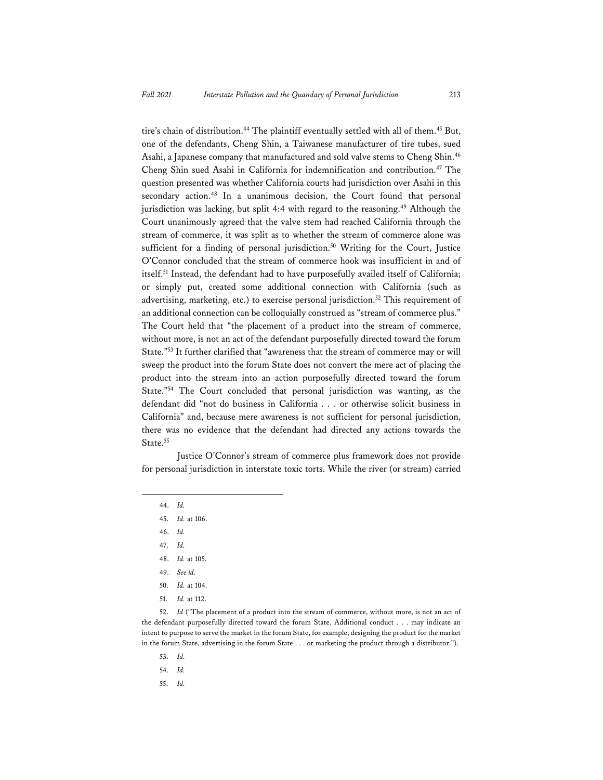tire's chain of distribution.<sup>44</sup> The plaintiff eventually settled with all of them.<sup>45</sup> But, one of the defendants, Cheng Shin, a Taiwanese manufacturer of tire tubes, sued Asahi, a Japanese company that manufactured and sold valve stems to Cheng Shin.46 Cheng Shin sued Asahi in California for indemnification and contribution.<sup>47</sup> The question presented was whether California courts had jurisdiction over Asahi in this secondary action.<sup>48</sup> In a unanimous decision, the Court found that personal jurisdiction was lacking, but split 4:4 with regard to the reasoning.<sup>49</sup> Although the Court unanimously agreed that the valve stem had reached California through the stream of commerce, it was split as to whether the stream of commerce alone was sufficient for a finding of personal jurisdiction.<sup>50</sup> Writing for the Court, Justice O'Connor concluded that the stream of commerce hook was insufficient in and of itself.51 Instead, the defendant had to have purposefully availed itself of California; or simply put, created some additional connection with California (such as advertising, marketing, etc.) to exercise personal jurisdiction.52 This requirement of an additional connection can be colloquially construed as "stream of commerce plus." The Court held that "the placement of a product into the stream of commerce, without more, is not an act of the defendant purposefully directed toward the forum State."53 It further clarified that "awareness that the stream of commerce may or will sweep the product into the forum State does not convert the mere act of placing the product into the stream into an action purposefully directed toward the forum State."54 The Court concluded that personal jurisdiction was wanting, as the defendant did "not do business in California . . . or otherwise solicit business in California" and, because mere awareness is not sufficient for personal jurisdiction, there was no evidence that the defendant had directed any actions towards the State.<sup>55</sup>

Justice O'Connor's stream of commerce plus framework does not provide for personal jurisdiction in interstate toxic torts. While the river (or stream) carried

- 49. *See id.*
- 50. *Id.* at 104.
- 51. *Id.* at 112.

- 53. *Id.*
- 54. *Id.*
- 55. *Id.*

<sup>44.</sup> *Id.* 

<sup>45.</sup> *Id.* at 106.

<sup>46.</sup> *Id.* 

<sup>47.</sup> *Id.* 

<sup>48.</sup> *Id.* at 105.

<sup>52.</sup> *Id* ("The placement of a product into the stream of commerce, without more, is not an act of the defendant purposefully directed toward the forum State. Additional conduct . . . may indicate an intent to purpose to serve the market in the forum State, for example, designing the product for the market in the forum State, advertising in the forum State . . . or marketing the product through a distributor.").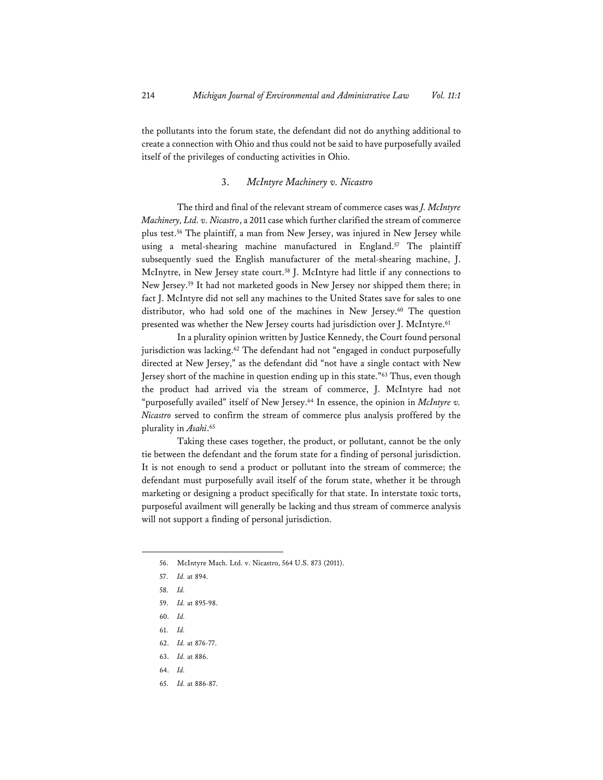the pollutants into the forum state, the defendant did not do anything additional to create a connection with Ohio and thus could not be said to have purposefully availed itself of the privileges of conducting activities in Ohio.

#### 3. *McIntyre Machinery v. Nicastro*

The third and final of the relevant stream of commerce cases was *J. McIntyre Machinery, Ltd. v. Nicastro*, a 2011 case which further clarified the stream of commerce plus test.56 The plaintiff, a man from New Jersey, was injured in New Jersey while using a metal-shearing machine manufactured in England.<sup>57</sup> The plaintiff subsequently sued the English manufacturer of the metal-shearing machine, J. McInytre, in New Jersey state court.58 J. McIntyre had little if any connections to New Jersey.59 It had not marketed goods in New Jersey nor shipped them there; in fact J. McIntyre did not sell any machines to the United States save for sales to one distributor, who had sold one of the machines in New Jersey.<sup>60</sup> The question presented was whether the New Jersey courts had jurisdiction over J. McIntyre.<sup>61</sup>

In a plurality opinion written by Justice Kennedy, the Court found personal jurisdiction was lacking.<sup>62</sup> The defendant had not "engaged in conduct purposefully directed at New Jersey," as the defendant did "not have a single contact with New Jersey short of the machine in question ending up in this state."63 Thus, even though the product had arrived via the stream of commerce, J. McIntyre had not "purposefully availed" itself of New Jersey.<sup>64</sup> In essence, the opinion in *McIntyre v*. *Nicastro* served to confirm the stream of commerce plus analysis proffered by the plurality in *Asahi*. 65

Taking these cases together, the product, or pollutant, cannot be the only tie between the defendant and the forum state for a finding of personal jurisdiction. It is not enough to send a product or pollutant into the stream of commerce; the defendant must purposefully avail itself of the forum state, whether it be through marketing or designing a product specifically for that state. In interstate toxic torts, purposeful availment will generally be lacking and thus stream of commerce analysis will not support a finding of personal jurisdiction.

61. *Id.*

- 63. *Id.* at 886.
- 64. *Id.*
- 65. *Id.* at 886-87.

<sup>56.</sup> McIntyre Mach. Ltd. v. Nicastro, 564 U.S. 873 (2011).

<sup>57.</sup> *Id.* at 894.

<sup>58.</sup> *Id.*

<sup>59.</sup> *Id.* at 895-98.

<sup>60.</sup> *Id.*

<sup>62.</sup> *Id.* at 876-77.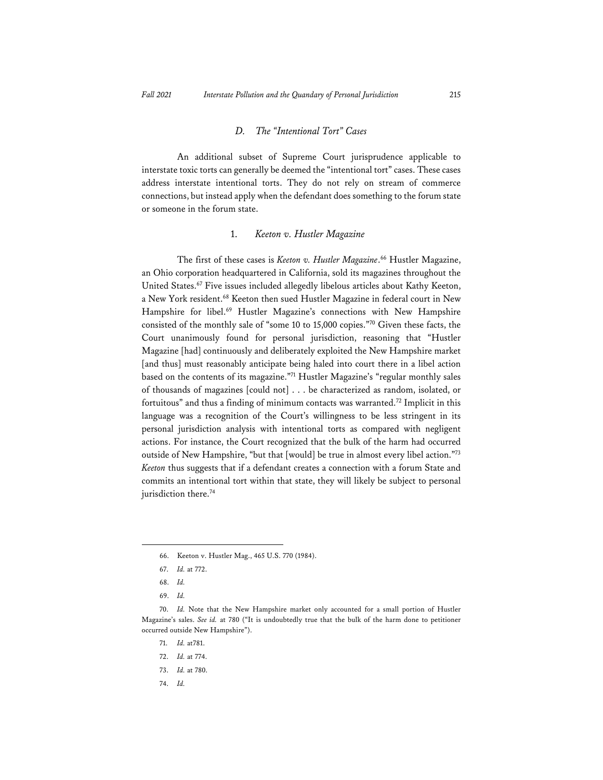#### *D. The "Intentional Tort" Cases*

An additional subset of Supreme Court jurisprudence applicable to interstate toxic torts can generally be deemed the "intentional tort" cases. These cases address interstate intentional torts. They do not rely on stream of commerce connections, but instead apply when the defendant does something to the forum state or someone in the forum state.

#### 1. *Keeton v. Hustler Magazine*

The first of these cases is *Keeton v. Hustler Magazine*. 66 Hustler Magazine, an Ohio corporation headquartered in California, sold its magazines throughout the United States.67 Five issues included allegedly libelous articles about Kathy Keeton, a New York resident.<sup>68</sup> Keeton then sued Hustler Magazine in federal court in New Hampshire for libel.<sup>69</sup> Hustler Magazine's connections with New Hampshire consisted of the monthly sale of "some 10 to 15,000 copies."70 Given these facts, the Court unanimously found for personal jurisdiction, reasoning that "Hustler Magazine [had] continuously and deliberately exploited the New Hampshire market [and thus] must reasonably anticipate being haled into court there in a libel action based on the contents of its magazine."71 Hustler Magazine's "regular monthly sales of thousands of magazines [could not] . . . be characterized as random, isolated, or fortuitous" and thus a finding of minimum contacts was warranted.<sup>72</sup> Implicit in this language was a recognition of the Court's willingness to be less stringent in its personal jurisdiction analysis with intentional torts as compared with negligent actions. For instance, the Court recognized that the bulk of the harm had occurred outside of New Hampshire, "but that [would] be true in almost every libel action."73 *Keeton* thus suggests that if a defendant creates a connection with a forum State and commits an intentional tort within that state, they will likely be subject to personal jurisdiction there.<sup>74</sup>

71. *Id.* at781.

- 73. *Id.* at 780.
- 74. *Id.*

<sup>66.</sup> Keeton v. Hustler Mag., 465 U.S. 770 (1984).

<sup>67.</sup> *Id.* at 772.

<sup>68.</sup> *Id.* 

<sup>69.</sup> *Id.* 

<sup>70.</sup> *Id.* Note that the New Hampshire market only accounted for a small portion of Hustler Magazine's sales. *See id.* at 780 ("It is undoubtedly true that the bulk of the harm done to petitioner occurred outside New Hampshire").

<sup>72.</sup> *Id.* at 774.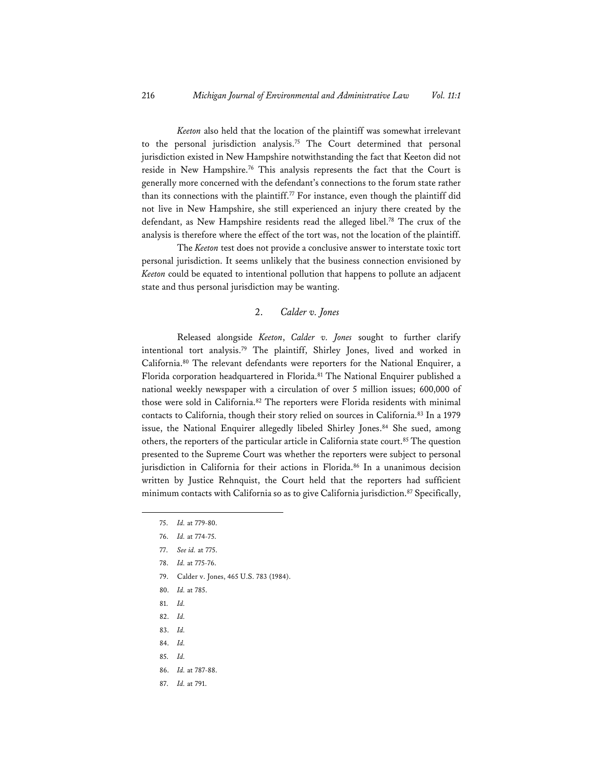*Keeton* also held that the location of the plaintiff was somewhat irrelevant to the personal jurisdiction analysis.<sup>75</sup> The Court determined that personal jurisdiction existed in New Hampshire notwithstanding the fact that Keeton did not reside in New Hampshire.<sup>76</sup> This analysis represents the fact that the Court is generally more concerned with the defendant's connections to the forum state rather than its connections with the plaintiff.<sup>77</sup> For instance, even though the plaintiff did not live in New Hampshire, she still experienced an injury there created by the defendant, as New Hampshire residents read the alleged libel.78 The crux of the analysis is therefore where the effect of the tort was, not the location of the plaintiff.

 The *Keeton* test does not provide a conclusive answer to interstate toxic tort personal jurisdiction. It seems unlikely that the business connection envisioned by *Keeton* could be equated to intentional pollution that happens to pollute an adjacent state and thus personal jurisdiction may be wanting.

#### 2. *Calder v. Jones*

Released alongside *Keeton*, *Calder v. Jones* sought to further clarify intentional tort analysis.79 The plaintiff, Shirley Jones, lived and worked in California.80 The relevant defendants were reporters for the National Enquirer, a Florida corporation headquartered in Florida.81 The National Enquirer published a national weekly newspaper with a circulation of over 5 million issues; 600,000 of those were sold in California.<sup>82</sup> The reporters were Florida residents with minimal contacts to California, though their story relied on sources in California.<sup>83</sup> In a 1979 issue, the National Enquirer allegedly libeled Shirley Jones.<sup>84</sup> She sued, among others, the reporters of the particular article in California state court.<sup>85</sup> The question presented to the Supreme Court was whether the reporters were subject to personal jurisdiction in California for their actions in Florida.<sup>86</sup> In a unanimous decision written by Justice Rehnquist, the Court held that the reporters had sufficient minimum contacts with California so as to give California jurisdiction.<sup>87</sup> Specifically,

- 79. Calder v. Jones, 465 U.S. 783 (1984).
- 80. *Id.* at 785.
- 81. *Id.*
- 82. *Id.*
- 83. *Id.*
- 84. *Id.*
- 85. *Id.*
- 86. *Id.* at 787-88.
- 87. *Id.* at 791.

<sup>75.</sup> *Id.* at 779-80.

<sup>76.</sup> *Id.* at 774-75.

<sup>77.</sup> *See id.* at 775.

<sup>78.</sup> *Id.* at 775-76.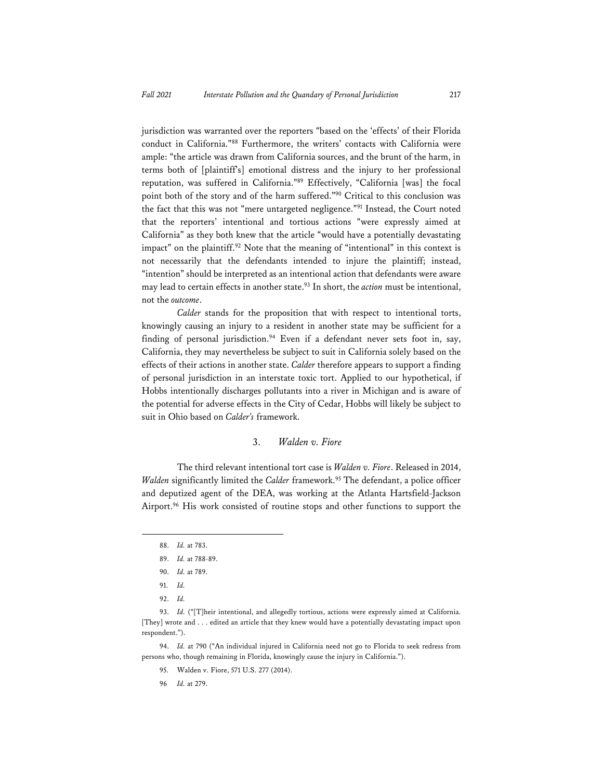jurisdiction was warranted over the reporters "based on the 'effects' of their Florida conduct in California."88 Furthermore, the writers' contacts with California were ample: "the article was drawn from California sources, and the brunt of the harm, in terms both of [plaintiff's] emotional distress and the injury to her professional reputation, was suffered in California."89 Effectively, "California [was] the focal point both of the story and of the harm suffered."90 Critical to this conclusion was the fact that this was not "mere untargeted negligence."91 Instead, the Court noted that the reporters' intentional and tortious actions "were expressly aimed at California" as they both knew that the article "would have a potentially devastating impact" on the plaintiff.<sup>92</sup> Note that the meaning of "intentional" in this context is not necessarily that the defendants intended to injure the plaintiff; instead, "intention" should be interpreted as an intentional action that defendants were aware may lead to certain effects in another state.<sup>93</sup> In short, the *action* must be intentional, not the *outcome*.

*Calder* stands for the proposition that with respect to intentional torts, knowingly causing an injury to a resident in another state may be sufficient for a finding of personal jurisdiction.<sup>94</sup> Even if a defendant never sets foot in, say, California, they may nevertheless be subject to suit in California solely based on the effects of their actions in another state. *Calder* therefore appears to support a finding of personal jurisdiction in an interstate toxic tort. Applied to our hypothetical, if Hobbs intentionally discharges pollutants into a river in Michigan and is aware of the potential for adverse effects in the City of Cedar, Hobbs will likely be subject to suit in Ohio based on *Calder's* framework.

#### 3. *Walden v. Fiore*

The third relevant intentional tort case is *Walden v. Fiore*. Released in 2014, *Walden* significantly limited the *Calder* framework.<sup>95</sup> The defendant, a police officer and deputized agent of the DEA, was working at the Atlanta Hartsfield-Jackson Airport.96 His work consisted of routine stops and other functions to support the

94. *Id.* at 790 ("An individual injured in California need not go to Florida to seek redress from persons who, though remaining in Florida, knowingly cause the injury in California.").

95. Walden v. Fiore, 571 U.S. 277 (2014).

96 *Id.* at 279.

<sup>88.</sup> *Id.* at 783.

<sup>89.</sup> *Id.* at 788-89.

<sup>90.</sup> *Id.* at 789.

<sup>91.</sup> *Id.* 

<sup>92.</sup> *Id.* 

<sup>93.</sup> Id. ("[T]heir intentional, and allegedly tortious, actions were expressly aimed at California. [They] wrote and . . . edited an article that they knew would have a potentially devastating impact upon respondent.").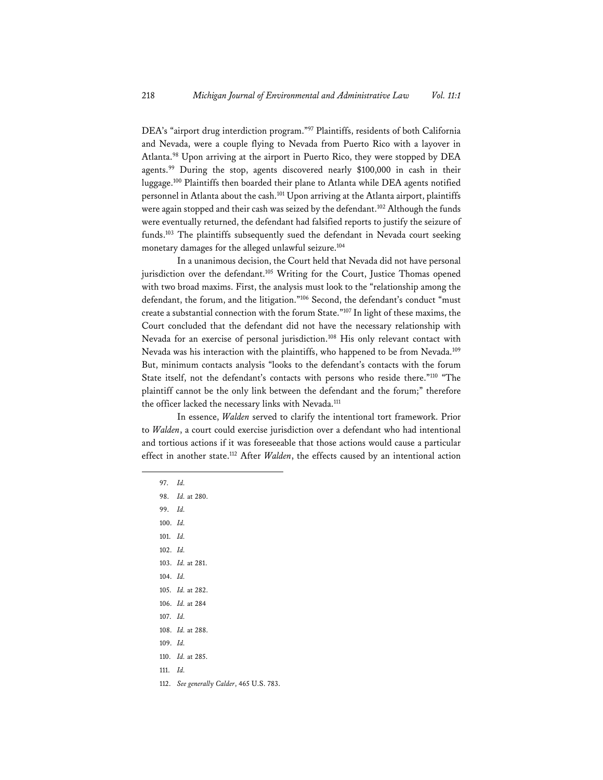DEA's "airport drug interdiction program."97 Plaintiffs, residents of both California and Nevada, were a couple flying to Nevada from Puerto Rico with a layover in Atlanta.98 Upon arriving at the airport in Puerto Rico, they were stopped by DEA agents.<sup>99</sup> During the stop, agents discovered nearly \$100,000 in cash in their luggage.100 Plaintiffs then boarded their plane to Atlanta while DEA agents notified personnel in Atlanta about the cash.<sup>101</sup> Upon arriving at the Atlanta airport, plaintiffs were again stopped and their cash was seized by the defendant.<sup>102</sup> Although the funds were eventually returned, the defendant had falsified reports to justify the seizure of funds.<sup>103</sup> The plaintiffs subsequently sued the defendant in Nevada court seeking monetary damages for the alleged unlawful seizure.104

In a unanimous decision, the Court held that Nevada did not have personal jurisdiction over the defendant.<sup>105</sup> Writing for the Court, Justice Thomas opened with two broad maxims. First, the analysis must look to the "relationship among the defendant, the forum, and the litigation."106 Second, the defendant's conduct "must create a substantial connection with the forum State."107 In light of these maxims, the Court concluded that the defendant did not have the necessary relationship with Nevada for an exercise of personal jurisdiction.108 His only relevant contact with Nevada was his interaction with the plaintiffs, who happened to be from Nevada.109 But, minimum contacts analysis "looks to the defendant's contacts with the forum State itself, not the defendant's contacts with persons who reside there."110 "The plaintiff cannot be the only link between the defendant and the forum;" therefore the officer lacked the necessary links with Nevada.<sup>111</sup>

In essence, *Walden* served to clarify the intentional tort framework. Prior to *Walden*, a court could exercise jurisdiction over a defendant who had intentional and tortious actions if it was foreseeable that those actions would cause a particular effect in another state.112 After *Walden*, the effects caused by an intentional action

- 97. *Id.*
- 98. *Id.* at 280.
- 99. *Id.*
- 100. *Id.*
- 101. *Id.*
- 102. *Id.*
- 103. *Id.* at 281.
- 104. *Id.*
- 105. *Id.* at 282.
- 106. *Id.* at 284
- 107. *Id.*
- 108. *Id.* at 288.
- 109. *Id.*
- 110. *Id.* at 285.
- 111. *Id.*
- 112. *See generall*y *Calder*, 465 U.S. 783.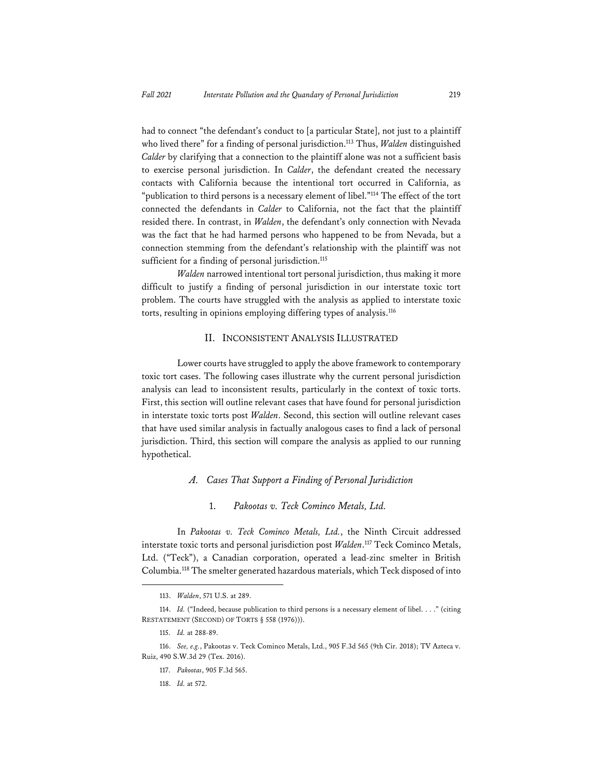had to connect "the defendant's conduct to [a particular State], not just to a plaintiff who lived there" for a finding of personal jurisdiction.113 Thus, *Walden* distinguished *Calder* by clarifying that a connection to the plaintiff alone was not a sufficient basis to exercise personal jurisdiction. In *Calder*, the defendant created the necessary contacts with California because the intentional tort occurred in California, as "publication to third persons is a necessary element of libel."114 The effect of the tort connected the defendants in *Calder* to California, not the fact that the plaintiff resided there. In contrast, in *Walden*, the defendant's only connection with Nevada was the fact that he had harmed persons who happened to be from Nevada, but a connection stemming from the defendant's relationship with the plaintiff was not sufficient for a finding of personal jurisdiction.<sup>115</sup>

*Walden* narrowed intentional tort personal jurisdiction, thus making it more difficult to justify a finding of personal jurisdiction in our interstate toxic tort problem. The courts have struggled with the analysis as applied to interstate toxic torts, resulting in opinions employing differing types of analysis.116

#### II. INCONSISTENT ANALYSIS ILLUSTRATED

Lower courts have struggled to apply the above framework to contemporary toxic tort cases. The following cases illustrate why the current personal jurisdiction analysis can lead to inconsistent results, particularly in the context of toxic torts. First, this section will outline relevant cases that have found for personal jurisdiction in interstate toxic torts post *Walden*. Second, this section will outline relevant cases that have used similar analysis in factually analogous cases to find a lack of personal jurisdiction. Third, this section will compare the analysis as applied to our running hypothetical.

#### *A. Cases That Support a Finding of Personal Jurisdiction*

#### 1. *Pakootas v. Teck Cominco Metals, Ltd.*

In *Pakootas v. Teck Cominco Metals, Ltd.*, the Ninth Circuit addressed interstate toxic torts and personal jurisdiction post *Walden*. 117 Teck Cominco Metals, Ltd. ("Teck"), a Canadian corporation, operated a lead-zinc smelter in British Columbia.118 The smelter generated hazardous materials, which Teck disposed of into

<sup>113.</sup> *Walden*, 571 U.S. at 289.

<sup>114.</sup> *Id.* ("Indeed, because publication to third persons is a necessary element of libel. . . ." (citing RESTATEMENT (SECOND) OF TORTS § 558 (1976))).

<sup>115.</sup> *Id.* at 288-89.

<sup>116.</sup> *See, e.g.*, Pakootas v. Teck Cominco Metals, Ltd., 905 F.3d 565 (9th Cir. 2018); TV Azteca v. Ruiz, 490 S.W.3d 29 (Tex. 2016).

<sup>117.</sup> *Pakootas*, 905 F.3d 565.

<sup>118.</sup> *Id.* at 572.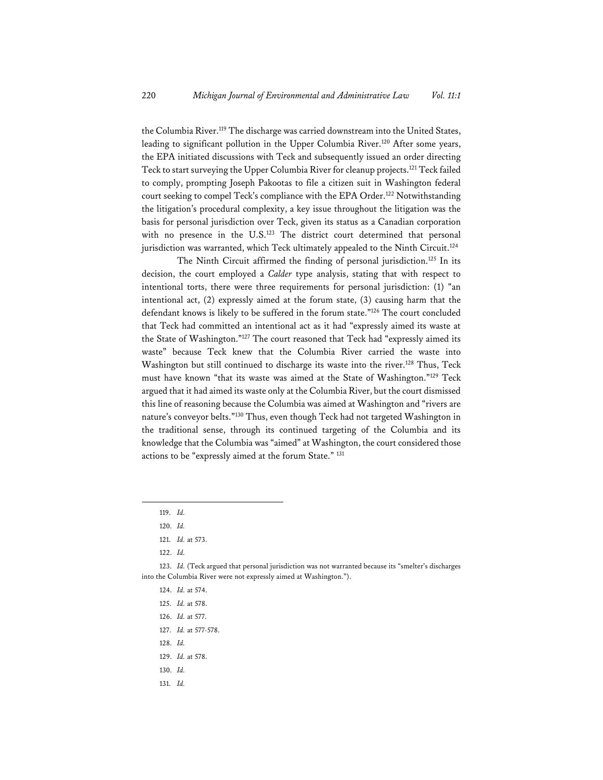the Columbia River.119 The discharge was carried downstream into the United States, leading to significant pollution in the Upper Columbia River.120 After some years, the EPA initiated discussions with Teck and subsequently issued an order directing Teck to start surveying the Upper Columbia River for cleanup projects.121 Teck failed to comply, prompting Joseph Pakootas to file a citizen suit in Washington federal court seeking to compel Teck's compliance with the EPA Order.<sup>122</sup> Notwithstanding the litigation's procedural complexity, a key issue throughout the litigation was the basis for personal jurisdiction over Teck, given its status as a Canadian corporation with no presence in the U.S.<sup>123</sup> The district court determined that personal jurisdiction was warranted, which Teck ultimately appealed to the Ninth Circuit.<sup>124</sup>

The Ninth Circuit affirmed the finding of personal jurisdiction.<sup>125</sup> In its decision, the court employed a *Calder* type analysis, stating that with respect to intentional torts, there were three requirements for personal jurisdiction: (1) "an intentional act, (2) expressly aimed at the forum state, (3) causing harm that the defendant knows is likely to be suffered in the forum state."126 The court concluded that Teck had committed an intentional act as it had "expressly aimed its waste at the State of Washington."127 The court reasoned that Teck had "expressly aimed its waste" because Teck knew that the Columbia River carried the waste into Washington but still continued to discharge its waste into the river.<sup>128</sup> Thus, Teck must have known "that its waste was aimed at the State of Washington."129 Teck argued that it had aimed its waste only at the Columbia River, but the court dismissed this line of reasoning because the Columbia was aimed at Washington and "rivers are nature's conveyor belts."130 Thus, even though Teck had not targeted Washington in the traditional sense, through its continued targeting of the Columbia and its knowledge that the Columbia was "aimed" at Washington, the court considered those actions to be "expressly aimed at the forum State." 131

122. *Id.*

- 127. *Id.* at 577-578.
- 128. *Id.*

- 130. *Id.*
- 131. *Id.*

<sup>119.</sup> *Id.* 

<sup>120.</sup> *Id.* 

<sup>121.</sup> *Id.* at 573.

<sup>123.</sup> *Id.* (Teck argued that personal jurisdiction was not warranted because its "smelter's discharges into the Columbia River were not expressly aimed at Washington.").

<sup>124.</sup> *Id.* at 574.

<sup>125.</sup> *Id.* at 578.

<sup>126.</sup> *Id.* at 577.

<sup>129.</sup> *Id.* at 578.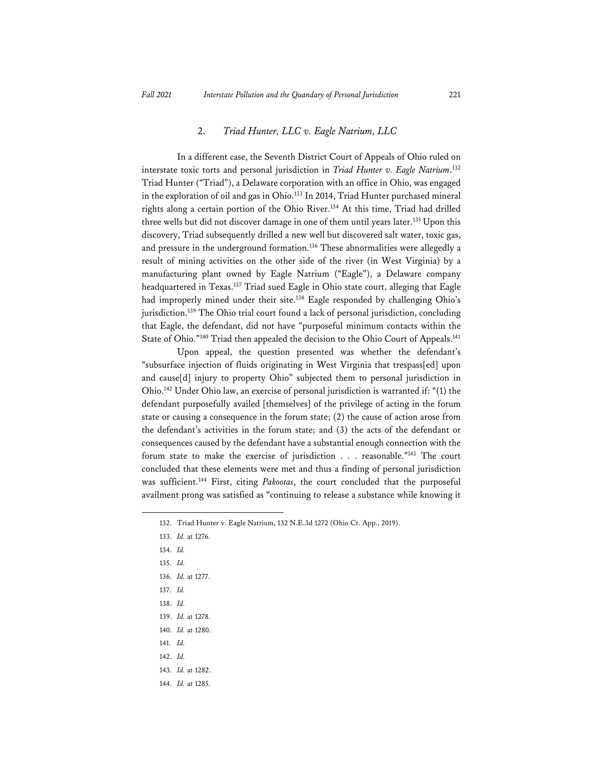#### 2. *Triad Hunter, LLC v. Eagle Natrium, LLC*

In a different case, the Seventh District Court of Appeals of Ohio ruled on interstate toxic torts and personal jurisdiction in *Triad Hunter v. Eagle Natrium*. 132 Triad Hunter ("Triad"), a Delaware corporation with an office in Ohio, was engaged in the exploration of oil and gas in Ohio.<sup>133</sup> In 2014, Triad Hunter purchased mineral rights along a certain portion of the Ohio River.<sup>134</sup> At this time, Triad had drilled three wells but did not discover damage in one of them until years later.<sup>135</sup> Upon this discovery, Triad subsequently drilled a new well but discovered salt water, toxic gas, and pressure in the underground formation.136 These abnormalities were allegedly a result of mining activities on the other side of the river (in West Virginia) by a manufacturing plant owned by Eagle Natrium ("Eagle"), a Delaware company headquartered in Texas.<sup>137</sup> Triad sued Eagle in Ohio state court, alleging that Eagle had improperly mined under their site.<sup>138</sup> Eagle responded by challenging Ohio's jurisdiction.<sup>139</sup> The Ohio trial court found a lack of personal jurisdiction, concluding that Eagle, the defendant, did not have "purposeful minimum contacts within the State of Ohio."<sup>140</sup> Triad then appealed the decision to the Ohio Court of Appeals.<sup>141</sup>

Upon appeal, the question presented was whether the defendant's "subsurface injection of fluids originating in West Virginia that trespass[ed] upon and cause[d] injury to property Ohio" subjected them to personal jurisdiction in Ohio.142 Under Ohio law, an exercise of personal jurisdiction is warranted if: "(1) the defendant purposefully availed [themselves] of the privilege of acting in the forum state or causing a consequence in the forum state; (2) the cause of action arose from the defendant's activities in the forum state; and (3) the acts of the defendant or consequences caused by the defendant have a substantial enough connection with the forum state to make the exercise of jurisdiction . . . reasonable."143 The court concluded that these elements were met and thus a finding of personal jurisdiction was sufficient.144 First, citing *Pakootas*, the court concluded that the purposeful availment prong was satisfied as "continuing to release a substance while knowing it

- 135. *Id.*
- 136. *Id.* at 1277.
- 137. *Id.*
- 138. *Id.*
- 139. *Id.* at 1278.
- 140. *Id.* at 1280.
- 141. *Id.*
- 142. *Id.*
- 143. *Id.* at 1282.
- 144. *Id.* at 1285.

<sup>132.</sup> Triad Hunter v. Eagle Natrium, 132 N.E.3d 1272 (Ohio Ct. App., 2019).

<sup>133.</sup> *Id.* at 1276.

<sup>134.</sup> *Id.*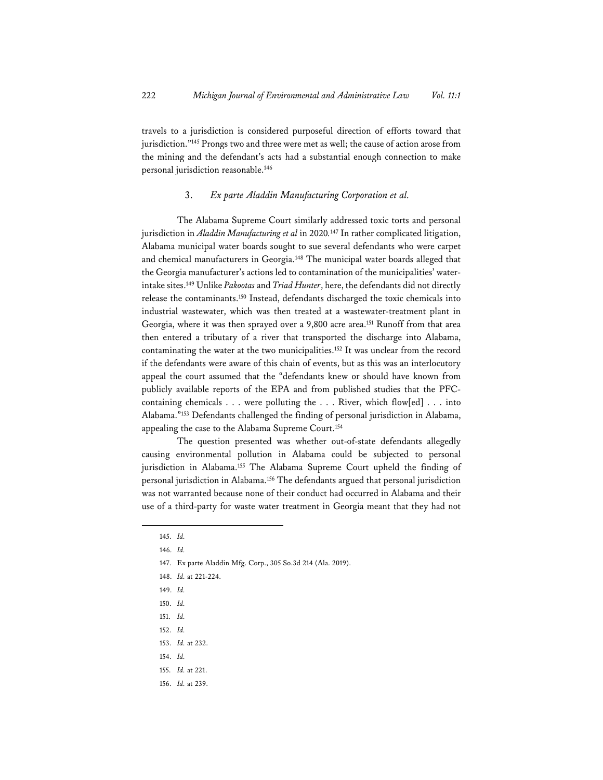travels to a jurisdiction is considered purposeful direction of efforts toward that jurisdiction."145 Prongs two and three were met as well; the cause of action arose from the mining and the defendant's acts had a substantial enough connection to make personal jurisdiction reasonable.146

#### 3. *Ex parte Aladdin Manufacturing Corporation et al.*

The Alabama Supreme Court similarly addressed toxic torts and personal jurisdiction in *Aladdin Manufacturing et al* in 2020*.* <sup>147</sup> In rather complicated litigation, Alabama municipal water boards sought to sue several defendants who were carpet and chemical manufacturers in Georgia.148 The municipal water boards alleged that the Georgia manufacturer's actions led to contamination of the municipalities' waterintake sites.149 Unlike *Pakootas* and *Triad Hunter*, here, the defendants did not directly release the contaminants.150 Instead, defendants discharged the toxic chemicals into industrial wastewater, which was then treated at a wastewater-treatment plant in Georgia, where it was then sprayed over a 9,800 acre area.151 Runoff from that area then entered a tributary of a river that transported the discharge into Alabama, contaminating the water at the two municipalities.<sup>152</sup> It was unclear from the record if the defendants were aware of this chain of events, but as this was an interlocutory appeal the court assumed that the "defendants knew or should have known from publicly available reports of the EPA and from published studies that the PFCcontaining chemicals . . . were polluting the . . . River, which flow[ed] . . . into Alabama."153 Defendants challenged the finding of personal jurisdiction in Alabama, appealing the case to the Alabama Supreme Court.<sup>154</sup>

The question presented was whether out-of-state defendants allegedly causing environmental pollution in Alabama could be subjected to personal jurisdiction in Alabama.<sup>155</sup> The Alabama Supreme Court upheld the finding of personal jurisdiction in Alabama.156 The defendants argued that personal jurisdiction was not warranted because none of their conduct had occurred in Alabama and their use of a third-party for waste water treatment in Georgia meant that they had not

<sup>145.</sup> *Id.*

<sup>146.</sup> *Id.* 

<sup>147.</sup> Ex parte Aladdin Mfg. Corp., 305 So.3d 214 (Ala. 2019).

<sup>148.</sup> *Id.* at 221-224.

<sup>149.</sup> *Id.* 

<sup>150.</sup> *Id.* 

<sup>151.</sup> *Id.* 

<sup>152.</sup> *Id.*

<sup>153.</sup> *Id.* at 232.

<sup>154.</sup> *Id.* 

<sup>155.</sup> *Id.* at 221.

<sup>156.</sup> *Id.* at 239.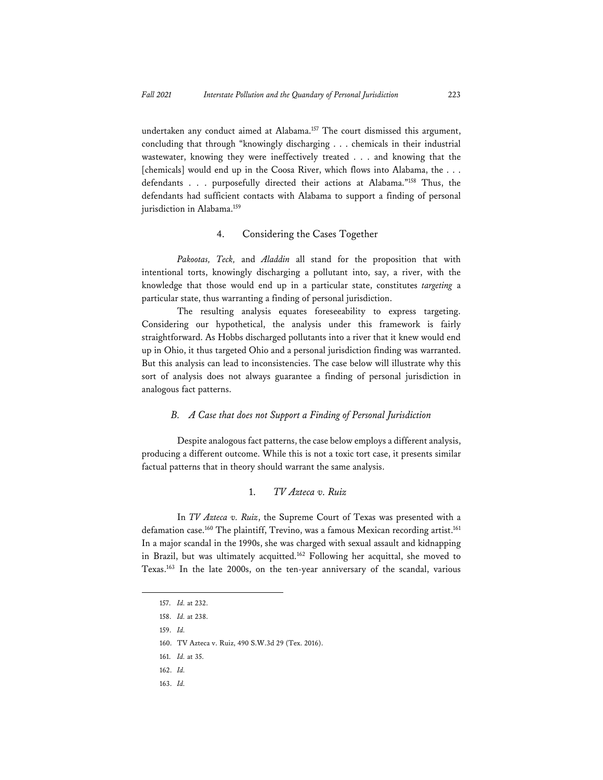undertaken any conduct aimed at Alabama.<sup>157</sup> The court dismissed this argument, concluding that through "knowingly discharging . . . chemicals in their industrial wastewater, knowing they were ineffectively treated . . . and knowing that the [chemicals] would end up in the Coosa River, which flows into Alabama, the . . . defendants . . . purposefully directed their actions at Alabama."158 Thus, the defendants had sufficient contacts with Alabama to support a finding of personal jurisdiction in Alabama.<sup>159</sup>

#### 4. Considering the Cases Together

*Pakootas, Teck,* and *Aladdin* all stand for the proposition that with intentional torts, knowingly discharging a pollutant into, say, a river, with the knowledge that those would end up in a particular state, constitutes *targeting* a particular state, thus warranting a finding of personal jurisdiction.

The resulting analysis equates foreseeability to express targeting. Considering our hypothetical, the analysis under this framework is fairly straightforward. As Hobbs discharged pollutants into a river that it knew would end up in Ohio, it thus targeted Ohio and a personal jurisdiction finding was warranted. But this analysis can lead to inconsistencies. The case below will illustrate why this sort of analysis does not always guarantee a finding of personal jurisdiction in analogous fact patterns.

#### *B. A Case that does not Support a Finding of Personal Jurisdiction*

Despite analogous fact patterns, the case below employs a different analysis, producing a different outcome. While this is not a toxic tort case, it presents similar factual patterns that in theory should warrant the same analysis.

#### 1. *TV Azteca v. Ruiz*

In *TV Azteca v. Ruiz*, the Supreme Court of Texas was presented with a defamation case.<sup>160</sup> The plaintiff, Trevino, was a famous Mexican recording artist.<sup>161</sup> In a major scandal in the 1990s, she was charged with sexual assault and kidnapping in Brazil, but was ultimately acquitted.162 Following her acquittal, she moved to Texas.163 In the late 2000s, on the ten-year anniversary of the scandal, various

<sup>157.</sup> *Id.* at 232.

<sup>158.</sup> *Id.* at 238.

<sup>159.</sup> *Id.* 

<sup>160.</sup> TV Azteca v. Ruiz, 490 S.W.3d 29 (Tex. 2016).

<sup>161.</sup> *Id.* at 35.

<sup>162.</sup> *Id.* 

<sup>163.</sup> *Id.*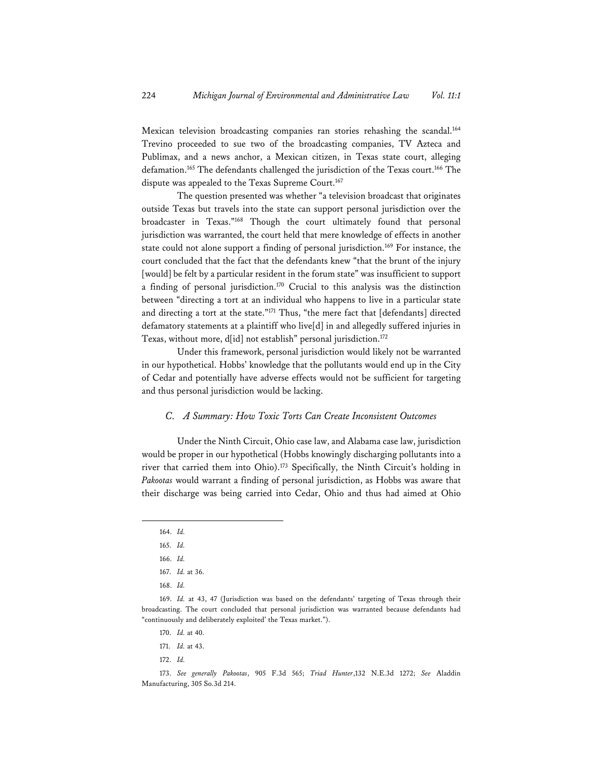Mexican television broadcasting companies ran stories rehashing the scandal.<sup>164</sup> Trevino proceeded to sue two of the broadcasting companies, TV Azteca and Publimax, and a news anchor, a Mexican citizen, in Texas state court, alleging defamation.165 The defendants challenged the jurisdiction of the Texas court.166 The dispute was appealed to the Texas Supreme Court.<sup>167</sup>

The question presented was whether "a television broadcast that originates outside Texas but travels into the state can support personal jurisdiction over the broadcaster in Texas."168 Though the court ultimately found that personal jurisdiction was warranted, the court held that mere knowledge of effects in another state could not alone support a finding of personal jurisdiction.<sup>169</sup> For instance, the court concluded that the fact that the defendants knew "that the brunt of the injury [would] be felt by a particular resident in the forum state" was insufficient to support a finding of personal jurisdiction.170 Crucial to this analysis was the distinction between "directing a tort at an individual who happens to live in a particular state and directing a tort at the state."171 Thus, "the mere fact that [defendants] directed defamatory statements at a plaintiff who live[d] in and allegedly suffered injuries in Texas, without more, d[id] not establish" personal jurisdiction.<sup>172</sup>

Under this framework, personal jurisdiction would likely not be warranted in our hypothetical. Hobbs' knowledge that the pollutants would end up in the City of Cedar and potentially have adverse effects would not be sufficient for targeting and thus personal jurisdiction would be lacking.

#### *C. A Summary: How Toxic Torts Can Create Inconsistent Outcomes*

Under the Ninth Circuit, Ohio case law, and Alabama case law, jurisdiction would be proper in our hypothetical (Hobbs knowingly discharging pollutants into a river that carried them into Ohio).173 Specifically, the Ninth Circuit's holding in *Pakootas* would warrant a finding of personal jurisdiction, as Hobbs was aware that their discharge was being carried into Cedar, Ohio and thus had aimed at Ohio

<sup>164.</sup> *Id.* 

<sup>165.</sup> *Id.* 

<sup>166.</sup> *Id.*

<sup>167.</sup> *Id.* at 36.

<sup>168.</sup> *Id.* 

<sup>169.</sup> *Id.* at 43, 47 (Jurisdiction was based on the defendants' targeting of Texas through their broadcasting. The court concluded that personal jurisdiction was warranted because defendants had "continuously and deliberately exploited' the Texas market.").

<sup>170.</sup> *Id.* at 40.

<sup>171.</sup> *Id.* at 43.

<sup>172.</sup> *Id.* 

<sup>173.</sup> *See generally Pakootas*, 905 F.3d 565; *Triad Hunter*,132 N.E.3d 1272; *See* Aladdin Manufacturing, 305 So.3d 214.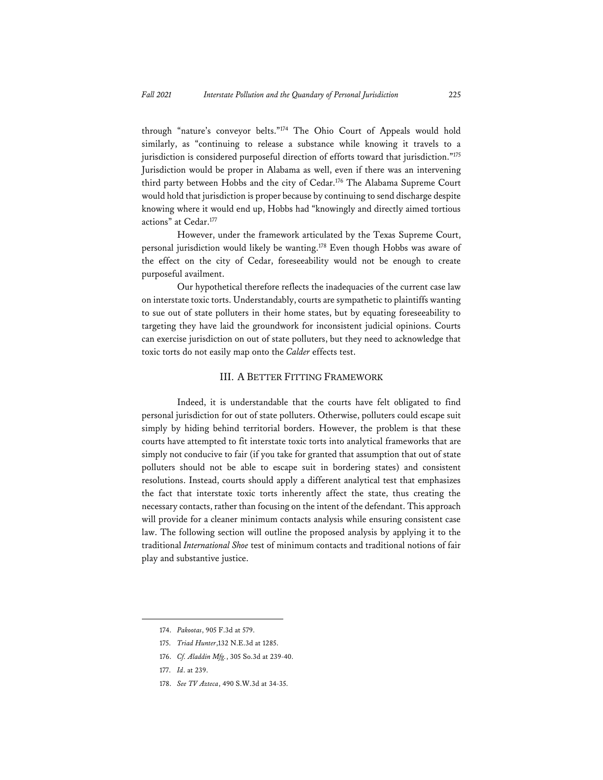through "nature's conveyor belts."174 The Ohio Court of Appeals would hold similarly, as "continuing to release a substance while knowing it travels to a jurisdiction is considered purposeful direction of efforts toward that jurisdiction."<sup>175</sup> Jurisdiction would be proper in Alabama as well, even if there was an intervening third party between Hobbs and the city of Cedar.<sup>176</sup> The Alabama Supreme Court would hold that jurisdiction is proper because by continuing to send discharge despite knowing where it would end up, Hobbs had "knowingly and directly aimed tortious actions" at Cedar.177

However, under the framework articulated by the Texas Supreme Court, personal jurisdiction would likely be wanting.178 Even though Hobbs was aware of the effect on the city of Cedar, foreseeability would not be enough to create purposeful availment.

Our hypothetical therefore reflects the inadequacies of the current case law on interstate toxic torts. Understandably, courts are sympathetic to plaintiffs wanting to sue out of state polluters in their home states, but by equating foreseeability to targeting they have laid the groundwork for inconsistent judicial opinions. Courts can exercise jurisdiction on out of state polluters, but they need to acknowledge that toxic torts do not easily map onto the *Calder* effects test.

#### III. A BETTER FITTING FRAMEWORK

Indeed, it is understandable that the courts have felt obligated to find personal jurisdiction for out of state polluters. Otherwise, polluters could escape suit simply by hiding behind territorial borders. However, the problem is that these courts have attempted to fit interstate toxic torts into analytical frameworks that are simply not conducive to fair (if you take for granted that assumption that out of state polluters should not be able to escape suit in bordering states) and consistent resolutions. Instead, courts should apply a different analytical test that emphasizes the fact that interstate toxic torts inherently affect the state, thus creating the necessary contacts, rather than focusing on the intent of the defendant. This approach will provide for a cleaner minimum contacts analysis while ensuring consistent case law. The following section will outline the proposed analysis by applying it to the traditional *International Shoe* test of minimum contacts and traditional notions of fair play and substantive justice.

<sup>174.</sup> *Pakootas*, 905 F.3d at 579.

<sup>175.</sup> *Triad Hunter*,132 N.E.3d at 1285.

<sup>176.</sup> *Cf. Aladdin Mfg.*, 305 So.3d at 239-40.

<sup>177.</sup> *Id*. at 239.

<sup>178.</sup> *See TV Azteca*, 490 S.W.3d at 34-35.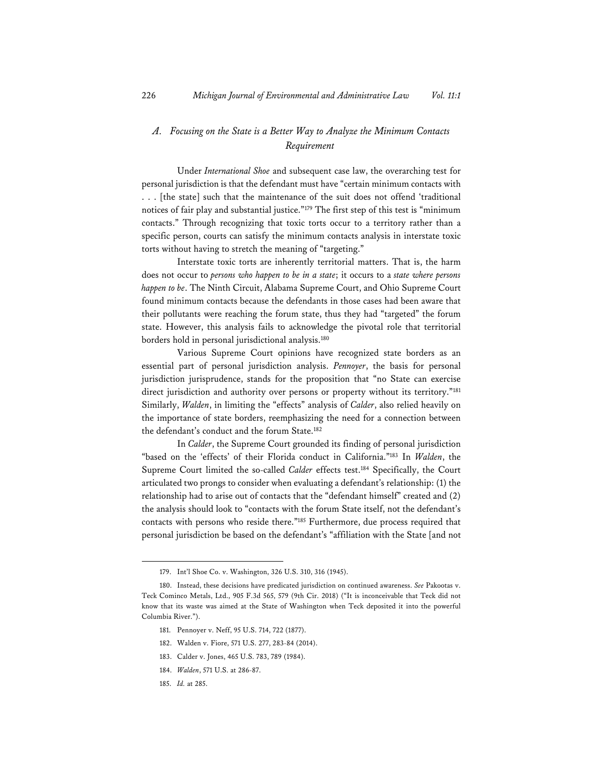### *A. Focusing on the State is a Better Way to Analyze the Minimum Contacts Requirement*

Under *International Shoe* and subsequent case law, the overarching test for personal jurisdiction is that the defendant must have "certain minimum contacts with . . . [the state] such that the maintenance of the suit does not offend 'traditional notices of fair play and substantial justice."179 The first step of this test is "minimum contacts." Through recognizing that toxic torts occur to a territory rather than a specific person, courts can satisfy the minimum contacts analysis in interstate toxic torts without having to stretch the meaning of "targeting."

Interstate toxic torts are inherently territorial matters. That is, the harm does not occur to *persons who happen to be in a state*; it occurs to a *state where persons happen to be*. The Ninth Circuit, Alabama Supreme Court, and Ohio Supreme Court found minimum contacts because the defendants in those cases had been aware that their pollutants were reaching the forum state, thus they had "targeted" the forum state. However, this analysis fails to acknowledge the pivotal role that territorial borders hold in personal jurisdictional analysis.<sup>180</sup>

Various Supreme Court opinions have recognized state borders as an essential part of personal jurisdiction analysis. *Pennoyer*, the basis for personal jurisdiction jurisprudence, stands for the proposition that "no State can exercise direct jurisdiction and authority over persons or property without its territory."181 Similarly, *Walden*, in limiting the "effects" analysis of *Calder*, also relied heavily on the importance of state borders, reemphasizing the need for a connection between the defendant's conduct and the forum State.<sup>182</sup>

In *Calder*, the Supreme Court grounded its finding of personal jurisdiction "based on the 'effects' of their Florida conduct in California."183 In *Walden*, the Supreme Court limited the so-called *Calder* effects test.<sup>184</sup> Specifically, the Court articulated two prongs to consider when evaluating a defendant's relationship: (1) the relationship had to arise out of contacts that the "defendant himself" created and (2) the analysis should look to "contacts with the forum State itself, not the defendant's contacts with persons who reside there."185 Furthermore, due process required that personal jurisdiction be based on the defendant's "affiliation with the State [and not

<sup>179.</sup> Int'l Shoe Co. v. Washington, 326 U.S. 310, 316 (1945).

<sup>180.</sup> Instead, these decisions have predicated jurisdiction on continued awareness. *See* Pakootas v. Teck Cominco Metals, Ltd., 905 F.3d 565, 579 (9th Cir. 2018) ("It is inconceivable that Teck did not know that its waste was aimed at the State of Washington when Teck deposited it into the powerful Columbia River.").

<sup>181.</sup> Pennoyer v. Neff, 95 U.S. 714, 722 (1877).

<sup>182.</sup> Walden v. Fiore, 571 U.S. 277, 283-84 (2014).

<sup>183.</sup> Calder v. Jones, 465 U.S. 783, 789 (1984).

<sup>184.</sup> *Walden*, 571 U.S. at 286-87.

<sup>185.</sup> *Id.* at 285.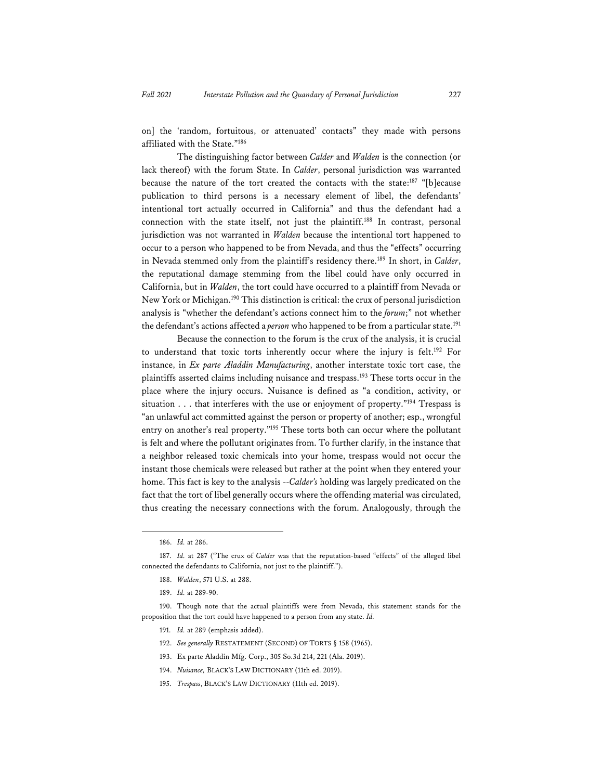on] the 'random, fortuitous, or attenuated' contacts" they made with persons affiliated with the State."186

The distinguishing factor between *Calder* and *Walden* is the connection (or lack thereof) with the forum State. In *Calder*, personal jurisdiction was warranted because the nature of the tort created the contacts with the state:<sup>187</sup> "[b]ecause publication to third persons is a necessary element of libel, the defendants' intentional tort actually occurred in California" and thus the defendant had a connection with the state itself, not just the plaintiff.188 In contrast, personal jurisdiction was not warranted in *Walden* because the intentional tort happened to occur to a person who happened to be from Nevada, and thus the "effects" occurring in Nevada stemmed only from the plaintiff's residency there.189 In short, in *Calder*, the reputational damage stemming from the libel could have only occurred in California, but in *Walden*, the tort could have occurred to a plaintiff from Nevada or New York or Michigan.190 This distinction is critical: the crux of personal jurisdiction analysis is "whether the defendant's actions connect him to the *forum*;" not whether the defendant's actions affected a *person* who happened to be from a particular state.191

Because the connection to the forum is the crux of the analysis, it is crucial to understand that toxic torts inherently occur where the injury is felt.192 For instance, in *Ex parte Aladdin Manufacturing*, another interstate toxic tort case, the plaintiffs asserted claims including nuisance and trespass.<sup>193</sup> These torts occur in the place where the injury occurs. Nuisance is defined as "a condition, activity, or situation . . . that interferes with the use or enjoyment of property."<sup>194</sup> Trespass is "an unlawful act committed against the person or property of another; esp., wrongful entry on another's real property."195 These torts both can occur where the pollutant is felt and where the pollutant originates from. To further clarify, in the instance that a neighbor released toxic chemicals into your home, trespass would not occur the instant those chemicals were released but rather at the point when they entered your home. This fact is key to the analysis --*Calder's* holding was largely predicated on the fact that the tort of libel generally occurs where the offending material was circulated, thus creating the necessary connections with the forum. Analogously, through the

- 191. *Id.* at 289 (emphasis added).
- 192. *See generally* RESTATEMENT (SECOND) OF TORTS § 158 (1965).
- 193. Ex parte Aladdin Mfg. Corp., 305 So.3d 214, 221 (Ala. 2019).
- 194. *Nuisance,* BLACK'S LAW DICTIONARY (11th ed. 2019).
- 195. *Trespass*, BLACK'S LAW DICTIONARY (11th ed. 2019).

<sup>186.</sup> *Id.* at 286.

<sup>187.</sup> *Id.* at 287 ("The crux of *Calder* was that the reputation-based "effects" of the alleged libel connected the defendants to California, not just to the plaintiff.").

<sup>188.</sup> *Walden*, 571 U.S. at 288.

<sup>189.</sup> *Id.* at 289-90.

<sup>190.</sup> Though note that the actual plaintiffs were from Nevada, this statement stands for the proposition that the tort could have happened to a person from any state. *Id.*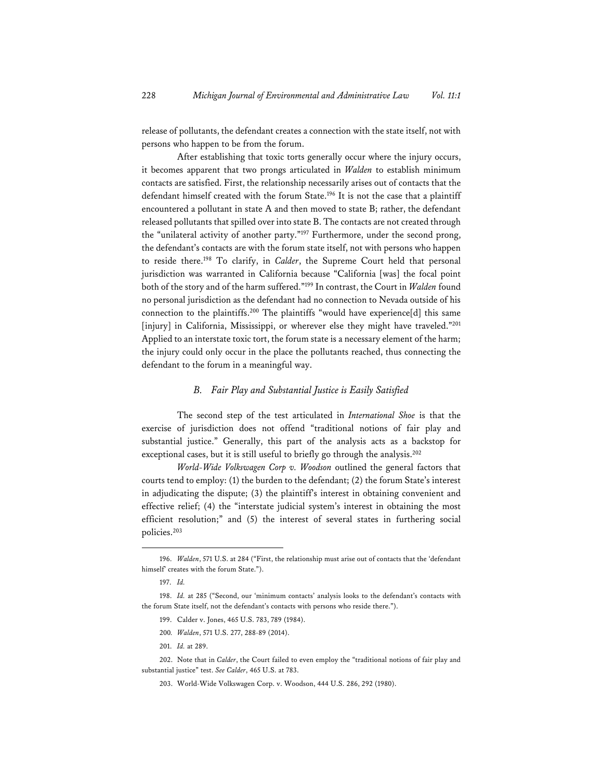release of pollutants, the defendant creates a connection with the state itself, not with persons who happen to be from the forum.

After establishing that toxic torts generally occur where the injury occurs, it becomes apparent that two prongs articulated in *Walden* to establish minimum contacts are satisfied. First, the relationship necessarily arises out of contacts that the defendant himself created with the forum State.<sup>196</sup> It is not the case that a plaintiff encountered a pollutant in state A and then moved to state B; rather, the defendant released pollutants that spilled over into state B. The contacts are not created through the "unilateral activity of another party."197 Furthermore, under the second prong, the defendant's contacts are with the forum state itself, not with persons who happen to reside there.198 To clarify, in *Calder*, the Supreme Court held that personal jurisdiction was warranted in California because "California [was] the focal point both of the story and of the harm suffered."199 In contrast, the Court in *Walden* found no personal jurisdiction as the defendant had no connection to Nevada outside of his connection to the plaintiffs.200 The plaintiffs "would have experience[d] this same [injury] in California, Mississippi, or wherever else they might have traveled."201 Applied to an interstate toxic tort, the forum state is a necessary element of the harm; the injury could only occur in the place the pollutants reached, thus connecting the defendant to the forum in a meaningful way.

#### *B. Fair Play and Substantial Justice is Easily Satisfied*

The second step of the test articulated in *International Shoe* is that the exercise of jurisdiction does not offend "traditional notions of fair play and substantial justice." Generally, this part of the analysis acts as a backstop for exceptional cases, but it is still useful to briefly go through the analysis.<sup>202</sup>

*World-Wide Volkswagen Corp v. Woodson* outlined the general factors that courts tend to employ: (1) the burden to the defendant; (2) the forum State's interest in adjudicating the dispute; (3) the plaintiff's interest in obtaining convenient and effective relief; (4) the "interstate judicial system's interest in obtaining the most efficient resolution;" and (5) the interest of several states in furthering social policies.203

- 200*. Walden*, 571 U.S. 277, 288-89 (2014).
- 201. *Id.* at 289.

203. World-Wide Volkswagen Corp. v. Woodson, 444 U.S. 286, 292 (1980).

<sup>196.</sup> *Walden*, 571 U.S. at 284 ("First, the relationship must arise out of contacts that the 'defendant himself' creates with the forum State.").

<sup>197.</sup> *Id.* 

<sup>198.</sup> *Id.* at 285 ("Second, our 'minimum contacts' analysis looks to the defendant's contacts with the forum State itself, not the defendant's contacts with persons who reside there.").

<sup>199.</sup> Calder v. Jones, 465 U.S. 783, 789 (1984).

<sup>202.</sup> Note that in *Calder*, the Court failed to even employ the "traditional notions of fair play and substantial justice" test. *See Calder*, 465 U.S. at 783.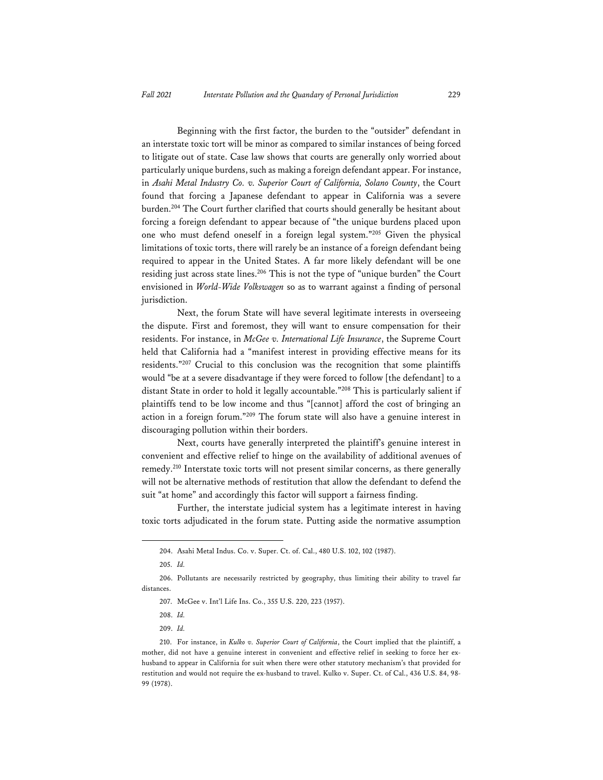Beginning with the first factor, the burden to the "outsider" defendant in an interstate toxic tort will be minor as compared to similar instances of being forced to litigate out of state. Case law shows that courts are generally only worried about particularly unique burdens, such as making a foreign defendant appear. For instance, in *Asahi Metal Industry Co. v. Superior Court of California, Solano County*, the Court found that forcing a Japanese defendant to appear in California was a severe burden.<sup>204</sup> The Court further clarified that courts should generally be hesitant about forcing a foreign defendant to appear because of "the unique burdens placed upon one who must defend oneself in a foreign legal system."205 Given the physical limitations of toxic torts, there will rarely be an instance of a foreign defendant being required to appear in the United States. A far more likely defendant will be one residing just across state lines.<sup>206</sup> This is not the type of "unique burden" the Court envisioned in *World-Wide Volkswagen* so as to warrant against a finding of personal jurisdiction.

Next, the forum State will have several legitimate interests in overseeing the dispute. First and foremost, they will want to ensure compensation for their residents. For instance, in *McGee v. International Life Insurance*, the Supreme Court held that California had a "manifest interest in providing effective means for its residents."207 Crucial to this conclusion was the recognition that some plaintiffs would "be at a severe disadvantage if they were forced to follow [the defendant] to a distant State in order to hold it legally accountable."208 This is particularly salient if plaintiffs tend to be low income and thus "[cannot] afford the cost of bringing an action in a foreign forum."209 The forum state will also have a genuine interest in discouraging pollution within their borders.

Next, courts have generally interpreted the plaintiff's genuine interest in convenient and effective relief to hinge on the availability of additional avenues of remedy.210 Interstate toxic torts will not present similar concerns, as there generally will not be alternative methods of restitution that allow the defendant to defend the suit "at home" and accordingly this factor will support a fairness finding.

Further, the interstate judicial system has a legitimate interest in having toxic torts adjudicated in the forum state. Putting aside the normative assumption

<sup>204.</sup> Asahi Metal Indus. Co. v. Super. Ct. of. Cal., 480 U.S. 102, 102 (1987).

<sup>205.</sup> *Id.* 

<sup>206.</sup> Pollutants are necessarily restricted by geography, thus limiting their ability to travel far distances.

<sup>207.</sup> McGee v. Int'l Life Ins. Co., 355 U.S. 220, 223 (1957).

<sup>208.</sup> *Id.* 

<sup>209.</sup> *Id.* 

<sup>210.</sup> For instance, in *Kulko v. Superior Court of California*, the Court implied that the plaintiff, a mother, did not have a genuine interest in convenient and effective relief in seeking to force her exhusband to appear in California for suit when there were other statutory mechanism's that provided for restitution and would not require the ex-husband to travel. Kulko v. Super. Ct. of Cal., 436 U.S. 84, 98- 99 (1978).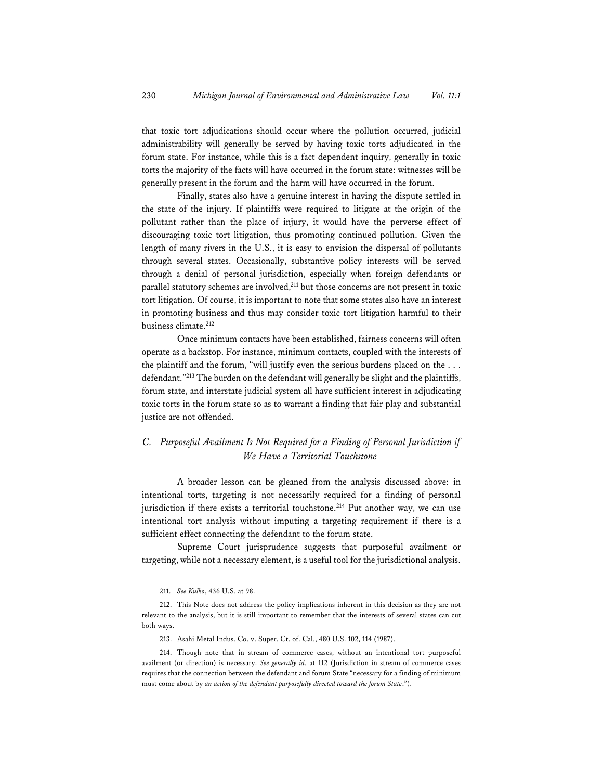that toxic tort adjudications should occur where the pollution occurred, judicial administrability will generally be served by having toxic torts adjudicated in the forum state. For instance, while this is a fact dependent inquiry, generally in toxic torts the majority of the facts will have occurred in the forum state: witnesses will be generally present in the forum and the harm will have occurred in the forum.

Finally, states also have a genuine interest in having the dispute settled in the state of the injury. If plaintiffs were required to litigate at the origin of the pollutant rather than the place of injury, it would have the perverse effect of discouraging toxic tort litigation, thus promoting continued pollution. Given the length of many rivers in the U.S., it is easy to envision the dispersal of pollutants through several states. Occasionally, substantive policy interests will be served through a denial of personal jurisdiction, especially when foreign defendants or parallel statutory schemes are involved, $2^{11}$  but those concerns are not present in toxic tort litigation. Of course, it is important to note that some states also have an interest in promoting business and thus may consider toxic tort litigation harmful to their business climate.212

Once minimum contacts have been established, fairness concerns will often operate as a backstop. For instance, minimum contacts, coupled with the interests of the plaintiff and the forum, "will justify even the serious burdens placed on the . . . defendant."213 The burden on the defendant will generally be slight and the plaintiffs, forum state, and interstate judicial system all have sufficient interest in adjudicating toxic torts in the forum state so as to warrant a finding that fair play and substantial justice are not offended.

## *C. Purposeful Availment Is Not Required for a Finding of Personal Jurisdiction if We Have a Territorial Touchstone*

A broader lesson can be gleaned from the analysis discussed above: in intentional torts, targeting is not necessarily required for a finding of personal jurisdiction if there exists a territorial touchstone.<sup>214</sup> Put another way, we can use intentional tort analysis without imputing a targeting requirement if there is a sufficient effect connecting the defendant to the forum state.

Supreme Court jurisprudence suggests that purposeful availment or targeting, while not a necessary element, is a useful tool for the jurisdictional analysis.

<sup>211.</sup> *See Kulko*, 436 U.S. at 98.

<sup>212.</sup> This Note does not address the policy implications inherent in this decision as they are not relevant to the analysis, but it is still important to remember that the interests of several states can cut both ways.

<sup>213.</sup> Asahi Metal Indus. Co. v. Super. Ct. of. Cal., 480 U.S. 102, 114 (1987).

<sup>214.</sup> Though note that in stream of commerce cases, without an intentional tort purposeful availment (or direction) is necessary. *See generally id.* at 112 (Jurisdiction in stream of commerce cases requires that the connection between the defendant and forum State "necessary for a finding of minimum must come about by *an action of the defendant purposefully directed toward the forum State*.").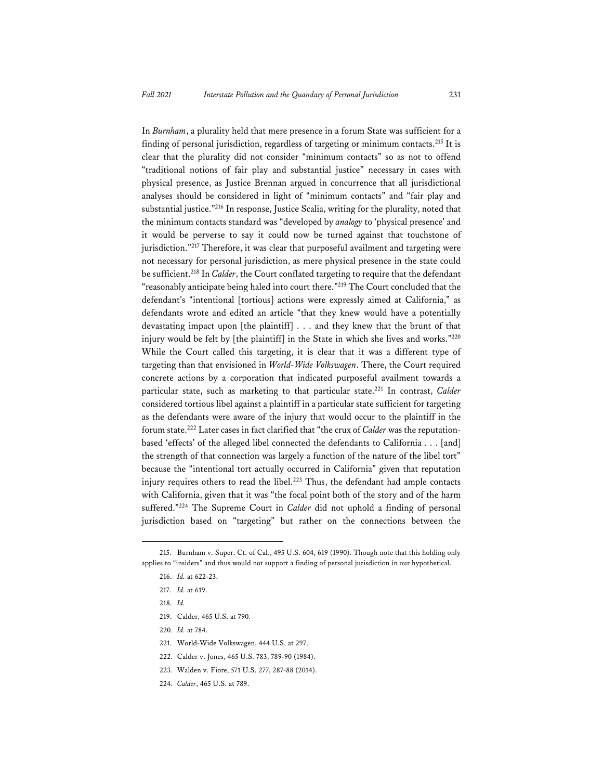In *Burnham*, a plurality held that mere presence in a forum State was sufficient for a finding of personal jurisdiction, regardless of targeting or minimum contacts.<sup>215</sup> It is clear that the plurality did not consider "minimum contacts" so as not to offend "traditional notions of fair play and substantial justice" necessary in cases with physical presence, as Justice Brennan argued in concurrence that all jurisdictional analyses should be considered in light of "minimum contacts" and "fair play and substantial justice."216 In response, Justice Scalia, writing for the plurality, noted that the minimum contacts standard was "developed by *analogy* to 'physical presence' and it would be perverse to say it could now be turned against that touchstone of jurisdiction."<sup>217</sup> Therefore, it was clear that purposeful availment and targeting were not necessary for personal jurisdiction, as mere physical presence in the state could be sufficient.218 In *Calder*, the Court conflated targeting to require that the defendant "reasonably anticipate being haled into court there."219 The Court concluded that the defendant's "intentional [tortious] actions were expressly aimed at California," as defendants wrote and edited an article "that they knew would have a potentially devastating impact upon [the plaintiff] . . . and they knew that the brunt of that injury would be felt by [the plaintiff] in the State in which she lives and works."220 While the Court called this targeting, it is clear that it was a different type of targeting than that envisioned in *World-Wide Volkswagen*. There, the Court required concrete actions by a corporation that indicated purposeful availment towards a particular state, such as marketing to that particular state.221 In contrast, *Calder*  considered tortious libel against a plaintiff in a particular state sufficient for targeting as the defendants were aware of the injury that would occur to the plaintiff in the forum state.222 Later cases in fact clarified that "the crux of *Calder* was the reputationbased 'effects' of the alleged libel connected the defendants to California . . . [and] the strength of that connection was largely a function of the nature of the libel tort" because the "intentional tort actually occurred in California" given that reputation injury requires others to read the libel.<sup>223</sup> Thus, the defendant had ample contacts with California, given that it was "the focal point both of the story and of the harm suffered."224 The Supreme Court in *Calder* did not uphold a finding of personal jurisdiction based on "targeting" but rather on the connections between the

218. *Id.* 

- 220. *Id.* at 784.
- 221. World-Wide Volkswagen, 444 U.S. at 297.
- 222. Calder v. Jones, 465 U.S. 783, 789-90 (1984).
- 223. Walden v. Fiore, 571 U.S. 277, 287-88 (2014).
- 224. *Calder*, 465 U.S. at 789.

<sup>215.</sup> Burnham v. Super. Ct. of Cal., 495 U.S. 604, 619 (1990). Though note that this holding only applies to "insiders" and thus would not support a finding of personal jurisdiction in our hypothetical.

<sup>216.</sup> *Id.* at 622-23.

<sup>217.</sup> *Id.* at 619.

<sup>219.</sup> Calder, 465 U.S. at 790.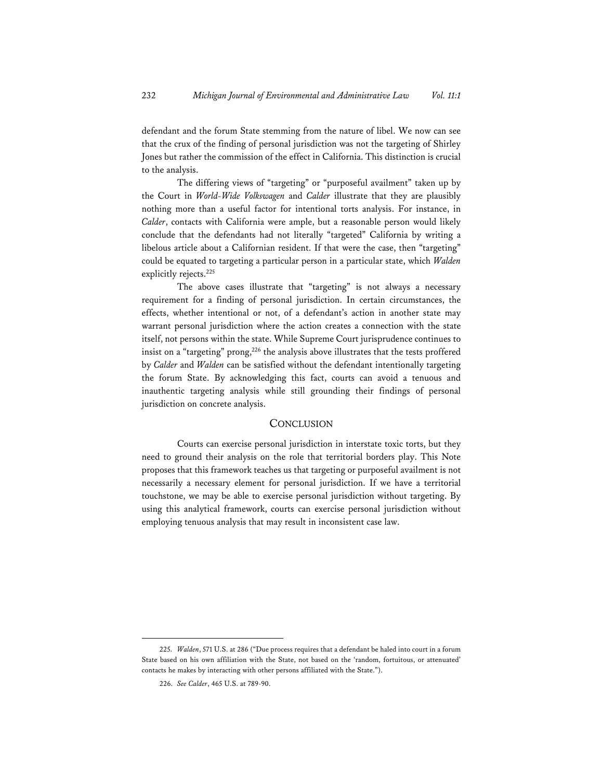defendant and the forum State stemming from the nature of libel. We now can see that the crux of the finding of personal jurisdiction was not the targeting of Shirley Jones but rather the commission of the effect in California. This distinction is crucial to the analysis.

The differing views of "targeting" or "purposeful availment" taken up by the Court in *World-Wide Volkswagen* and *Calder* illustrate that they are plausibly nothing more than a useful factor for intentional torts analysis. For instance, in *Calder*, contacts with California were ample, but a reasonable person would likely conclude that the defendants had not literally "targeted" California by writing a libelous article about a Californian resident. If that were the case, then "targeting" could be equated to targeting a particular person in a particular state, which *Walden* explicitly rejects.<sup>225</sup>

The above cases illustrate that "targeting" is not always a necessary requirement for a finding of personal jurisdiction. In certain circumstances, the effects, whether intentional or not, of a defendant's action in another state may warrant personal jurisdiction where the action creates a connection with the state itself, not persons within the state. While Supreme Court jurisprudence continues to insist on a "targeting" prong,<sup>226</sup> the analysis above illustrates that the tests proffered by *Calder* and *Walden* can be satisfied without the defendant intentionally targeting the forum State. By acknowledging this fact, courts can avoid a tenuous and inauthentic targeting analysis while still grounding their findings of personal jurisdiction on concrete analysis.

#### **CONCLUSION**

Courts can exercise personal jurisdiction in interstate toxic torts, but they need to ground their analysis on the role that territorial borders play. This Note proposes that this framework teaches us that targeting or purposeful availment is not necessarily a necessary element for personal jurisdiction. If we have a territorial touchstone, we may be able to exercise personal jurisdiction without targeting. By using this analytical framework, courts can exercise personal jurisdiction without employing tenuous analysis that may result in inconsistent case law.

<sup>225.</sup> *Walden*, 571 U.S. at 286 ("Due process requires that a defendant be haled into court in a forum State based on his own affiliation with the State, not based on the 'random, fortuitous, or attenuated' contacts he makes by interacting with other persons affiliated with the State.").

<sup>226.</sup> *See Calder*, 465 U.S. at 789-90.